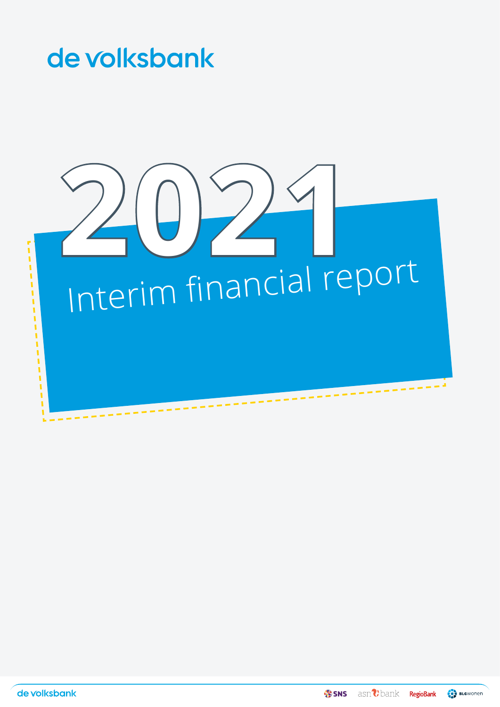

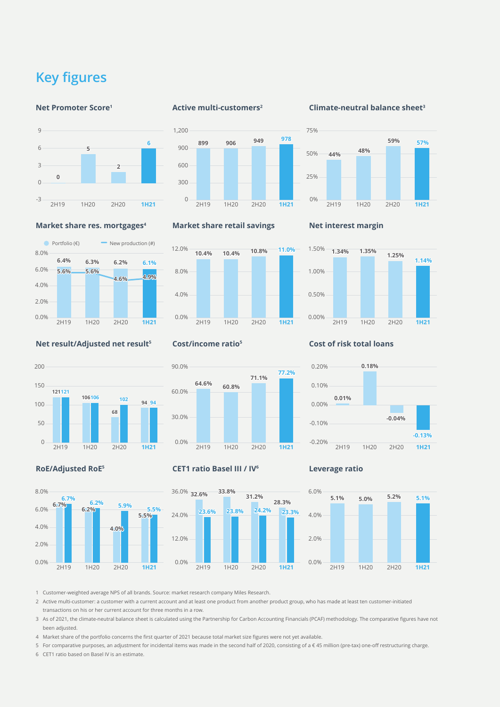## <span id="page-1-0"></span>**Key figures**

#### **Net Promoter Score<sup>1</sup>**



**Market share res. mortgages<sup>4</sup>**

#### **Active multi-customers<sup>2</sup>**



#### **Market share retail savings**



## **Net interest margin**



#### **Net result/Adjusted net result<sup>5</sup>**

0.0% 2.0% 4.0% 6.0% 8.0%

8.0%



**6.4% 6.3% 6.2% 6.1% 5.6% 5.6%**

Portfolio  $(\epsilon)$  New production  $(\#)$ 

**4.6% 4.9%**



#### **CET1 ratio Basel III / IV<sup>6</sup>**



**Leverage ratio**



1 Customer-weighted average NPS of all brands. Source: market research company Miles Research.

2 Active multi-customer: a customer with a current account and at least one product from another product group, who has made at least ten customer-initiated transactions on his or her current account for three months in a row.

3 As of 2021, the climate-neutral balance sheet is calculated using the Partnership for Carbon Accounting Financials (PCAF) methodology. The comparative figures have not been adjusted.

4 Market share of the portfolio concerns the first quarter of 2021 because total market size figures were not yet available.

5 For comparative purposes, an adjustment for incidental items was made in the second half of 2020, consisting of a € 45 million (pre-tax) one-off restructuring charge. 6 CET1 ratio based on Basel IV is an estimate.

# **Cost/income ratio<sup>5</sup>**

# **Cost of risk total loans**



**-0.13%**

### **RoE/Adjusted RoE<sup>5</sup>**



2H19 1H20 2H20 **1H21** -0.20%

#### **Climate-neutral balance sheet<sup>3</sup>**



2H19 1H20 2H20 **1H21**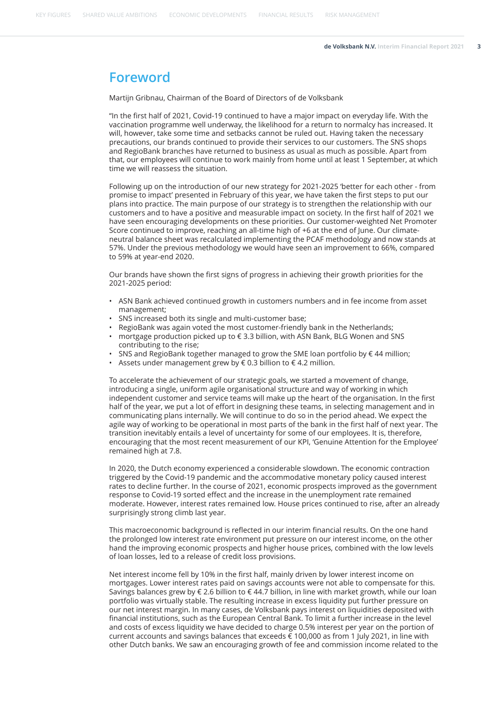[KEY FIGURES](#page-1-0) [SHARED VALUE AMBITIONS](#page-4-0) [ECONOMIC DEVELOPMENTS](#page-7-0) [FINANCIAL RESULTS](#page-8-0) [RISK MANAGEMENT](#page-13-0)

## **Foreword**

Martijn Gribnau, Chairman of the Board of Directors of de Volksbank

"In the first half of 2021, Covid-19 continued to have a major impact on everyday life. With the vaccination programme well underway, the likelihood for a return to normalcy has increased. It will, however, take some time and setbacks cannot be ruled out. Having taken the necessary precautions, our brands continued to provide their services to our customers. The SNS shops and RegioBank branches have returned to business as usual as much as possible. Apart from that, our employees will continue to work mainly from home until at least 1 September, at which time we will reassess the situation.

Following up on the introduction of our new strategy for 2021-2025 'better for each other - from promise to impact' presented in February of this year, we have taken the first steps to put our plans into practice. The main purpose of our strategy is to strengthen the relationship with our customers and to have a positive and measurable impact on society. In the first half of 2021 we have seen encouraging developments on these priorities. Our customer-weighted Net Promoter Score continued to improve, reaching an all-time high of +6 at the end of June. Our climateneutral balance sheet was recalculated implementing the PCAF methodology and now stands at 57%. Under the previous methodology we would have seen an improvement to 66%, compared to 59% at year-end 2020.

Our brands have shown the first signs of progress in achieving their growth priorities for the 2021-2025 period:

- ASN Bank achieved continued growth in customers numbers and in fee income from asset management;
- SNS increased both its single and multi-customer base;
- RegioBank was again voted the most customer-friendly bank in the Netherlands;
- mortgage production picked up to € 3.3 billion, with ASN Bank, BLG Wonen and SNS contributing to the rise;
- SNS and RegioBank together managed to grow the SME loan portfolio by €44 million;
- Assets under management grew by  $\epsilon$  0.3 billion to  $\epsilon$  4.2 million.

To accelerate the achievement of our strategic goals, we started a movement of change, introducing a single, uniform agile organisational structure and way of working in which independent customer and service teams will make up the heart of the organisation. In the first half of the year, we put a lot of effort in designing these teams, in selecting management and in communicating plans internally. We will continue to do so in the period ahead. We expect the agile way of working to be operational in most parts of the bank in the first half of next year. The transition inevitably entails a level of uncertainty for some of our employees. It is, therefore, encouraging that the most recent measurement of our KPI, 'Genuine Attention for the Employee' remained high at 7.8.

In 2020, the Dutch economy experienced a considerable slowdown. The economic contraction triggered by the Covid-19 pandemic and the accommodative monetary policy caused interest rates to decline further. In the course of 2021, economic prospects improved as the government response to Covid-19 sorted effect and the increase in the unemployment rate remained moderate. However, interest rates remained low. House prices continued to rise, after an already surprisingly strong climb last year.

This macroeconomic background is reflected in our interim financial results. On the one hand the prolonged low interest rate environment put pressure on our interest income, on the other hand the improving economic prospects and higher house prices, combined with the low levels of loan losses, led to a release of credit loss provisions.

Net interest income fell by 10% in the first half, mainly driven by lower interest income on mortgages. Lower interest rates paid on savings accounts were not able to compensate for this. Savings balances grew by € 2.6 billion to € 44.7 billion, in line with market growth, while our loan portfolio was virtually stable. The resulting increase in excess liquidity put further pressure on our net interest margin. In many cases, de Volksbank pays interest on liquidities deposited with financial institutions, such as the European Central Bank. To limit a further increase in the level and costs of excess liquidity we have decided to charge 0.5% interest per year on the portion of current accounts and savings balances that exceeds € 100,000 as from 1 July 2021, in line with other Dutch banks. We saw an encouraging growth of fee and commission income related to the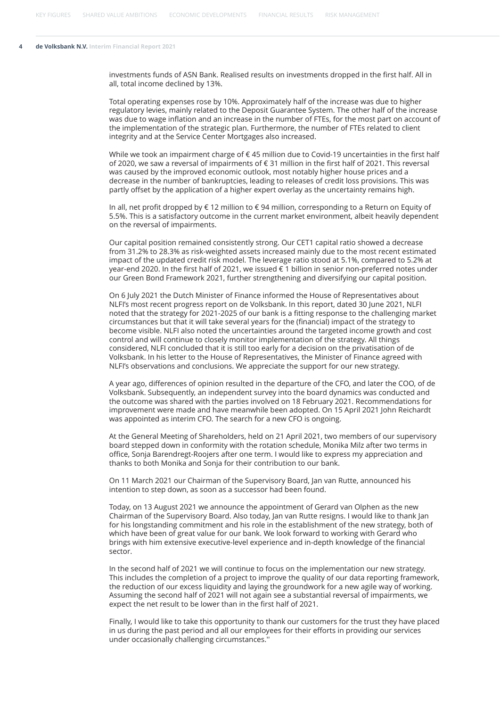investments funds of ASN Bank. Realised results on investments dropped in the first half. All in all, total income declined by 13%.

Total operating expenses rose by 10%. Approximately half of the increase was due to higher regulatory levies, mainly related to the Deposit Guarantee System. The other half of the increase was due to wage inflation and an increase in the number of FTEs, for the most part on account of the implementation of the strategic plan. Furthermore, the number of FTEs related to client integrity and at the Service Center Mortgages also increased.

While we took an impairment charge of €45 million due to Covid-19 uncertainties in the first half of 2020, we saw a reversal of impairments of € 31 million in the first half of 2021. This reversal was caused by the improved economic outlook, most notably higher house prices and a decrease in the number of bankruptcies, leading to releases of credit loss provisions. This was partly offset by the application of a higher expert overlay as the uncertainty remains high.

In all, net profit dropped by € 12 million to € 94 million, corresponding to a Return on Equity of 5.5%. This is a satisfactory outcome in the current market environment, albeit heavily dependent on the reversal of impairments.

Our capital position remained consistently strong. Our CET1 capital ratio showed a decrease from 31.2% to 28.3% as risk-weighted assets increased mainly due to the most recent estimated impact of the updated credit risk model. The leverage ratio stood at 5.1%, compared to 5.2% at year-end 2020. In the first half of 2021, we issued € 1 billion in senior non-preferred notes under our Green Bond Framework 2021, further strengthening and diversifying our capital position.

On 6 July 2021 the Dutch Minister of Finance informed the House of Representatives about NLFI's most recent progress report on de Volksbank. In this report, dated 30 June 2021, NLFI noted that the strategy for 2021-2025 of our bank is a fitting response to the challenging market circumstances but that it will take several years for the (financial) impact of the strategy to become visible. NLFI also noted the uncertainties around the targeted income growth and cost control and will continue to closely monitor implementation of the strategy. All things considered, NLFI concluded that it is still too early for a decision on the privatisation of de Volksbank. In his letter to the House of Representatives, the Minister of Finance agreed with NLFI's observations and conclusions. We appreciate the support for our new strategy.

A year ago, differences of opinion resulted in the departure of the CFO, and later the COO, of de Volksbank. Subsequently, an independent survey into the board dynamics was conducted and the outcome was shared with the parties involved on 18 February 2021. Recommendations for improvement were made and have meanwhile been adopted. On 15 April 2021 John Reichardt was appointed as interim CFO. The search for a new CFO is ongoing.

At the General Meeting of Shareholders, held on 21 April 2021, two members of our supervisory board stepped down in conformity with the rotation schedule, Monika Milz after two terms in office, Sonja Barendregt-Roojers after one term. I would like to express my appreciation and thanks to both Monika and Sonja for their contribution to our bank.

On 11 March 2021 our Chairman of the Supervisory Board, Jan van Rutte, announced his intention to step down, as soon as a successor had been found.

Today, on 13 August 2021 we announce the appointment of Gerard van Olphen as the new Chairman of the Supervisory Board. Also today, Jan van Rutte resigns. I would like to thank Jan for his longstanding commitment and his role in the establishment of the new strategy, both of which have been of great value for our bank. We look forward to working with Gerard who brings with him extensive executive-level experience and in-depth knowledge of the financial sector.

In the second half of 2021 we will continue to focus on the implementation our new strategy. This includes the completion of a project to improve the quality of our data reporting framework, the reduction of our excess liquidity and laying the groundwork for a new agile way of working. Assuming the second half of 2021 will not again see a substantial reversal of impairments, we expect the net result to be lower than in the first half of 2021.

Finally, I would like to take this opportunity to thank our customers for the trust they have placed in us during the past period and all our employees for their efforts in providing our services under occasionally challenging circumstances.''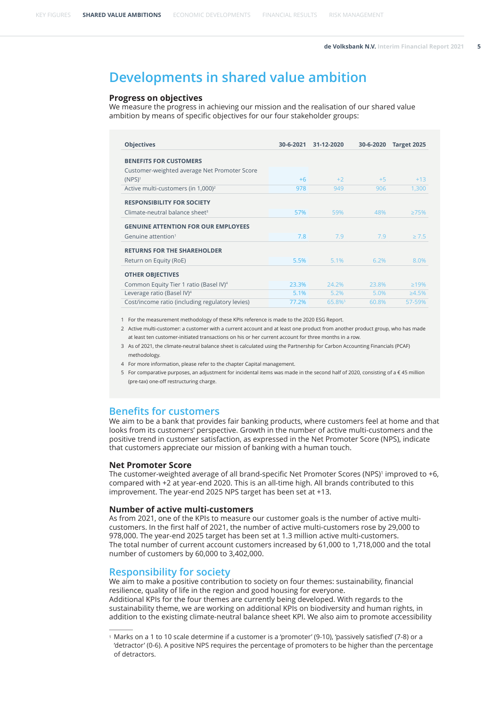## <span id="page-4-0"></span>**Developments in shared value ambition**

#### **Progress on objectives**

We measure the progress in achieving our mission and the realisation of our shared value ambition by means of specific objectives for our four stakeholder groups:

| <b>Objectives</b>                                  | 30-6-2021 | 31-12-2020 | 30-6-2020 | Target 2025  |
|----------------------------------------------------|-----------|------------|-----------|--------------|
| <b>BENEFITS FOR CUSTOMERS</b>                      |           |            |           |              |
| Customer-weighted average Net Promoter Score       |           |            |           |              |
| $(NPS)^1$                                          | $+6$      | $+2$       | $+5$      | $+13$        |
| Active multi-customers (in 1,000) <sup>2</sup>     | 978       | 949        | 906       | 1,300        |
| <b>RESPONSIBILITY FOR SOCIETY</b>                  |           |            |           |              |
| Climate-neutral balance sheet $3$                  | 57%       | 59%        | 48%       | $\geq 75\%$  |
| <b>GENUINE ATTENTION FOR OUR EMPLOYEES</b>         |           |            |           |              |
| Genuine attention <sup>1</sup>                     | 7.8       | 7.9        | 7.9       | $\geq 7.5$   |
| <b>RETURNS FOR THE SHAREHOLDER</b>                 |           |            |           |              |
| Return on Equity (RoE)                             | 5.5%      | 5.1%       | 6.2%      | 8.0%         |
| <b>OTHER OBJECTIVES</b>                            |           |            |           |              |
| Common Equity Tier 1 ratio (Basel IV) <sup>4</sup> | 23.3%     | 24.2%      | 23.8%     | $\geq 19\%$  |
| Leverage ratio (Basel IV) <sup>4</sup>             | 5.1%      | 5.2%       | 5.0%      | $\geq 4.5\%$ |
| Cost/income ratio (including regulatory levies)    | 77.2%     | 65.8%      | 60.8%     | 57-59%       |

1 For the measurement methodology of these KPIs reference is made to the 2020 ESG Report.

2 Active multi-customer: a customer with a current account and at least one product from another product group, who has made at least ten customer-initiated transactions on his or her current account for three months in a row.

- 3 As of 2021, the climate-neutral balance sheet is calculated using the Partnership for Carbon Accounting Financials (PCAF) methodology.
- 4 For more information, please refer to the chapter Capital management.
- 5 For comparative purposes, an adjustment for incidental items was made in the second half of 2020, consisting of a € 45 million (pre-tax) one-off restructuring charge.

#### **Benefits for customers**

We aim to be a bank that provides fair banking products, where customers feel at home and that looks from its customers' perspective. Growth in the number of active multi-customers and the positive trend in customer satisfaction, as expressed in the Net Promoter Score (NPS), indicate that customers appreciate our mission of banking with a human touch.

#### **Net Promoter Score**

The customer-weighted average of all brand-specific Net Promoter Scores (NPS)<sup>1</sup> improved to +6, compared with +2 at year-end 2020. This is an all-time high. All brands contributed to this improvement. The year-end 2025 NPS target has been set at +13.

#### **Number of active multi-customers**

As from 2021, one of the KPIs to measure our customer goals is the number of active multicustomers. In the first half of 2021, the number of active multi-customers rose by 29,000 to 978,000. The year-end 2025 target has been set at 1.3 million active multi-customers. The total number of current account customers increased by 61,000 to 1,718,000 and the total number of customers by 60,000 to 3,402,000.

#### **Responsibility for society**

We aim to make a positive contribution to society on four themes: sustainability, financial resilience, quality of life in the region and good housing for everyone. Additional KPIs for the four themes are currently being developed. With regards to the sustainability theme, we are working on additional KPIs on biodiversity and human rights, in addition to the existing climate-neutral balance sheet KPI. We also aim to promote accessibility

<sup>1</sup> Marks on a 1 to 10 scale determine if a customer is a 'promoter' (9-10), 'passively satisfied' (7-8) or a 'detractor' (0-6). A positive NPS requires the percentage of promoters to be higher than the percentage of detractors.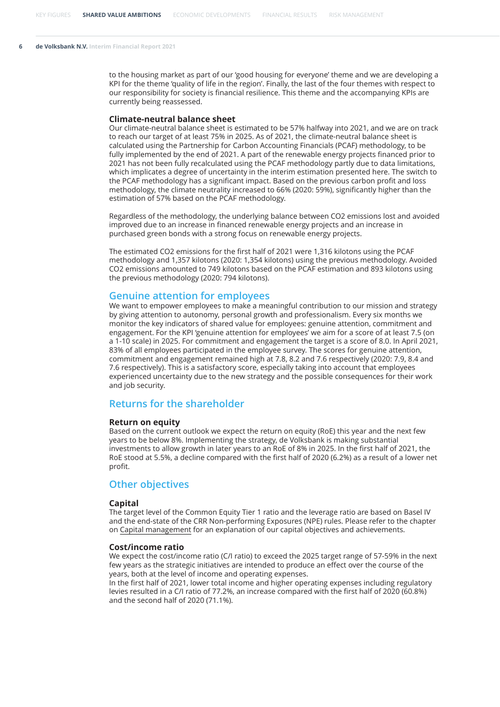to the housing market as part of our 'good housing for everyone' theme and we are developing a KPI for the theme 'quality of life in the region'. Finally, the last of the four themes with respect to our responsibility for society is financial resilience. This theme and the accompanying KPIs are currently being reassessed.

#### **Climate-neutral balance sheet**

Our climate-neutral balance sheet is estimated to be 57% halfway into 2021, and we are on track to reach our target of at least 75% in 2025. As of 2021, the climate-neutral balance sheet is calculated using the Partnership for Carbon Accounting Financials (PCAF) methodology, to be fully implemented by the end of 2021. A part of the renewable energy projects financed prior to 2021 has not been fully recalculated using the PCAF methodology partly due to data limitations, which implicates a degree of uncertainty in the interim estimation presented here. The switch to the PCAF methodology has a significant impact. Based on the previous carbon profit and loss methodology, the climate neutrality increased to 66% (2020: 59%), significantly higher than the estimation of 57% based on the PCAF methodology.

Regardless of the methodology, the underlying balance between CO2 emissions lost and avoided improved due to an increase in financed renewable energy projects and an increase in purchased green bonds with a strong focus on renewable energy projects.

The estimated CO2 emissions for the first half of 2021 were 1,316 kilotons using the PCAF methodology and 1,357 kilotons (2020: 1,354 kilotons) using the previous methodology. Avoided CO2 emissions amounted to 749 kilotons based on the PCAF estimation and 893 kilotons using the previous methodology (2020: 794 kilotons).

#### **Genuine attention for employees**

We want to empower employees to make a meaningful contribution to our mission and strategy by giving attention to autonomy, personal growth and professionalism. Every six months we monitor the key indicators of shared value for employees: genuine attention, commitment and engagement. For the KPI 'genuine attention for employees' we aim for a score of at least 7.5 (on a 1-10 scale) in 2025. For commitment and engagement the target is a score of 8.0. In April 2021, 83% of all employees participated in the employee survey. The scores for genuine attention, commitment and engagement remained high at 7.8, 8.2 and 7.6 respectively (2020: 7.9, 8.4 and 7.6 respectively). This is a satisfactory score, especially taking into account that employees experienced uncertainty due to the new strategy and the possible consequences for their work and job security.

#### **Returns for the shareholder**

#### **Return on equity**

Based on the current outlook we expect the return on equity (RoE) this year and the next few years to be below 8%. Implementing the strategy, de Volksbank is making substantial investments to allow growth in later years to an RoE of 8% in 2025. In the first half of 2021, the RoE stood at 5.5%, a decline compared with the first half of 2020 (6.2%) as a result of a lower net profit.

#### **Other objectives**

#### **Capital**

The target level of the Common Equity Tier 1 ratio and the leverage ratio are based on Basel IV and the end-state of the CRR Non-performing Exposures (NPE) rules. Please refer to the chapter on [Capital management](#page-25-0) for an explanation of our capital objectives and achievements.

#### **Cost/income ratio**

We expect the cost/income ratio (C/I ratio) to exceed the 2025 target range of 57-59% in the next few years as the strategic initiatives are intended to produce an effect over the course of the years, both at the level of income and operating expenses.

In the first half of 2021, lower total income and higher operating expenses including regulatory levies resulted in a C/I ratio of 77.2%, an increase compared with the first half of 2020 (60.8%) and the second half of 2020 (71.1%).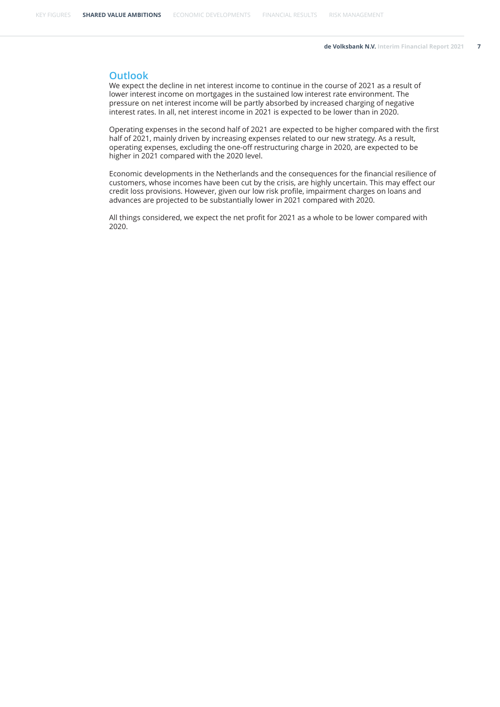#### **Outlook**

We expect the decline in net interest income to continue in the course of 2021 as a result of lower interest income on mortgages in the sustained low interest rate environment. The pressure on net interest income will be partly absorbed by increased charging of negative interest rates. In all, net interest income in 2021 is expected to be lower than in 2020.

Operating expenses in the second half of 2021 are expected to be higher compared with the first half of 2021, mainly driven by increasing expenses related to our new strategy. As a result, operating expenses, excluding the one-off restructuring charge in 2020, are expected to be higher in 2021 compared with the 2020 level.

Economic developments in the Netherlands and the consequences for the financial resilience of customers, whose incomes have been cut by the crisis, are highly uncertain. This may effect our credit loss provisions. However, given our low risk profile, impairment charges on loans and advances are projected to be substantially lower in 2021 compared with 2020.

All things considered, we expect the net profit for 2021 as a whole to be lower compared with 2020.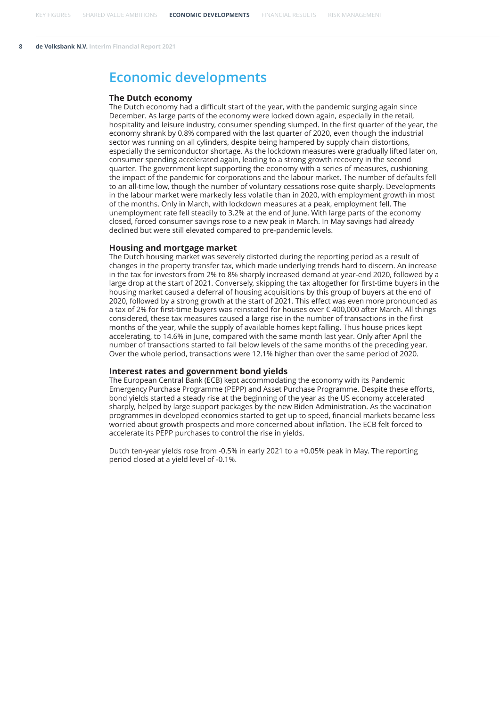#### <span id="page-7-0"></span>**The Dutch economy**

The Dutch economy had a difficult start of the year, with the pandemic surging again since December. As large parts of the economy were locked down again, especially in the retail, hospitality and leisure industry, consumer spending slumped. In the first quarter of the year, the economy shrank by 0.8% compared with the last quarter of 2020, even though the industrial sector was running on all cylinders, despite being hampered by supply chain distortions, especially the semiconductor shortage. As the lockdown measures were gradually lifted later on, consumer spending accelerated again, leading to a strong growth recovery in the second quarter. The government kept supporting the economy with a series of measures, cushioning the impact of the pandemic for corporations and the labour market. The number of defaults fell to an all-time low, though the number of voluntary cessations rose quite sharply. Developments in the labour market were markedly less volatile than in 2020, with employment growth in most of the months. Only in March, with lockdown measures at a peak, employment fell. The unemployment rate fell steadily to 3.2% at the end of June. With large parts of the economy closed, forced consumer savings rose to a new peak in March. In May savings had already declined but were still elevated compared to pre-pandemic levels.

#### **Housing and mortgage market**

The Dutch housing market was severely distorted during the reporting period as a result of changes in the property transfer tax, which made underlying trends hard to discern. An increase in the tax for investors from 2% to 8% sharply increased demand at year-end 2020, followed by a large drop at the start of 2021. Conversely, skipping the tax altogether for first-time buyers in the housing market caused a deferral of housing acquisitions by this group of buyers at the end of 2020, followed by a strong growth at the start of 2021. This effect was even more pronounced as a tax of 2% for first-time buyers was reinstated for houses over € 400,000 after March. All things considered, these tax measures caused a large rise in the number of transactions in the first months of the year, while the supply of available homes kept falling. Thus house prices kept accelerating, to 14.6% in June, compared with the same month last year. Only after April the number of transactions started to fall below levels of the same months of the preceding year. Over the whole period, transactions were 12.1% higher than over the same period of 2020.

#### **Interest rates and government bond yields**

The European Central Bank (ECB) kept accommodating the economy with its Pandemic Emergency Purchase Programme (PEPP) and Asset Purchase Programme. Despite these efforts, bond yields started a steady rise at the beginning of the year as the US economy accelerated sharply, helped by large support packages by the new Biden Administration. As the vaccination programmes in developed economies started to get up to speed, financial markets became less worried about growth prospects and more concerned about inflation. The ECB felt forced to accelerate its PEPP purchases to control the rise in yields.

Dutch ten-year yields rose from -0.5% in early 2021 to a +0.05% peak in May. The reporting period closed at a yield level of -0.1%.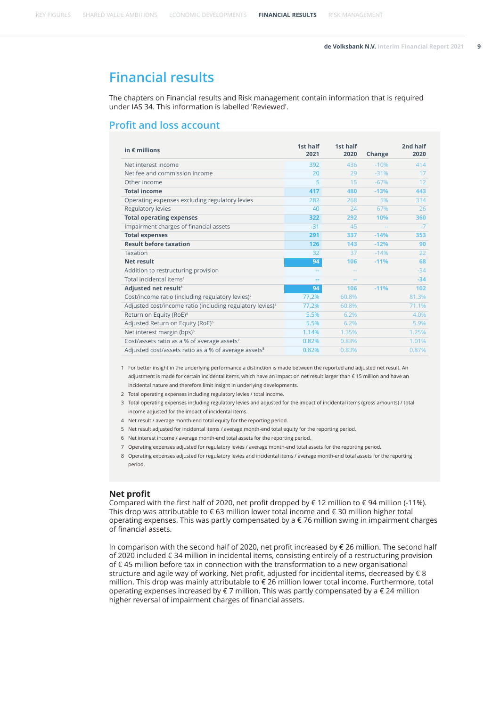<span id="page-8-0"></span>[KEY FIGURES](#page-1-0) [SHARED VALUE AMBITIONS](#page-4-0) [ECONOMIC DEVELOPMENTS](#page-7-0) **FINANCIAL RESULTS** [RISK MANAGEMENT](#page-13-0)

## **Financial results**

The chapters on Financial results and Risk management contain information that is required under IAS 34. This information is labelled 'Reviewed'.

### **Profit and loss account**

| in $\epsilon$ millions                                                | 1st half<br>2021 | 1st half<br>2020 | Change | 2nd half<br>2020 |
|-----------------------------------------------------------------------|------------------|------------------|--------|------------------|
| Net interest income                                                   | 392              | 436              | $-10%$ | 414              |
| Net fee and commission income                                         | 20               | 29               | $-31%$ | 17               |
| Other income                                                          | 5                | 15               | $-67%$ | 12               |
| <b>Total income</b>                                                   | 417              | 480              | $-13%$ | 443              |
| Operating expenses excluding regulatory levies                        | 282              | 268              | 5%     | 334              |
| Regulatory levies                                                     | 40               | 24               | 67%    | 26               |
| <b>Total operating expenses</b>                                       | 322              | 292              | 10%    | 360              |
| Impairment charges of financial assets                                | $-31$            | 45               |        | $-7$             |
| <b>Total expenses</b>                                                 | 291              | 337              | $-14%$ | 353              |
| <b>Result before taxation</b>                                         | 126              | 143              | $-12%$ | 90               |
| Taxation                                                              | 32               | 37               | $-14%$ | 22               |
| <b>Net result</b>                                                     | 94               | 106              | $-11%$ | 68               |
| Addition to restructuring provision                                   |                  |                  |        | $-34$            |
| Total incidental items <sup>1</sup>                                   |                  |                  |        | $-34$            |
| Adjusted net result <sup>1</sup>                                      | 94               | 106              | $-11%$ | 102              |
| Cost/income ratio (including regulatory levies) <sup>2</sup>          | 77.2%            | 60.8%            |        | 81.3%            |
| Adjusted cost/income ratio (including regulatory levies) <sup>3</sup> | 77.2%            | 60.8%            |        | 71.1%            |
| Return on Equity (RoE) <sup>4</sup>                                   | 5.5%             | 6.2%             |        | 4.0%             |
| Adjusted Return on Equity (RoE) <sup>5</sup>                          | 5.5%             | 6.2%             |        | 5.9%             |
| Net interest margin (bps) <sup>6</sup>                                | 1.14%            | 1.35%            |        | 1.25%            |
| Cost/assets ratio as a % of average assets <sup>7</sup>               | 0.82%            | 0.83%            |        | 1.01%            |
| Adjusted cost/assets ratio as a % of average assets <sup>8</sup>      | 0.82%            | 0.83%            |        | 0.87%            |

1 For better insight in the underlying performance a distinction is made between the reported and adjusted net result. An adjustment is made for certain incidental items, which have an impact on net result larger than € 15 million and have an incidental nature and therefore limit insight in underlying developments.

- 2 Total operating expenses including regulatory levies / total income.
- 3 Total operating expenses including regulatory levies and adjusted for the impact of incidental items (gross amounts) / total income adjusted for the impact of incidental items.
- 4 Net result / average month-end total equity for the reporting period.
- 5 Net result adjusted for incidental items / average month-end total equity for the reporting period.
- 6 Net interest income / average month-end total assets for the reporting period.
- 7 Operating expenses adjusted for regulatory levies / average month-end total assets for the reporting period.
- 8 Operating expenses adjusted for regulatory levies and incidental items / average month-end total assets for the reporting period.

#### **Net profit**

Compared with the first half of 2020, net profit dropped by  $\epsilon$  12 million to  $\epsilon$  94 million (-11%). This drop was attributable to € 63 million lower total income and € 30 million higher total operating expenses. This was partly compensated by a  $\epsilon$  76 million swing in impairment charges of financial assets.

In comparison with the second half of 2020, net profit increased by € 26 million. The second half of 2020 included € 34 million in incidental items, consisting entirely of a restructuring provision of € 45 million before tax in connection with the transformation to a new organisational structure and agile way of working. Net profit, adjusted for incidental items, decreased by € 8 million. This drop was mainly attributable to € 26 million lower total income. Furthermore, total operating expenses increased by  $\epsilon$  7 million. This was partly compensated by a  $\epsilon$  24 million higher reversal of impairment charges of financial assets.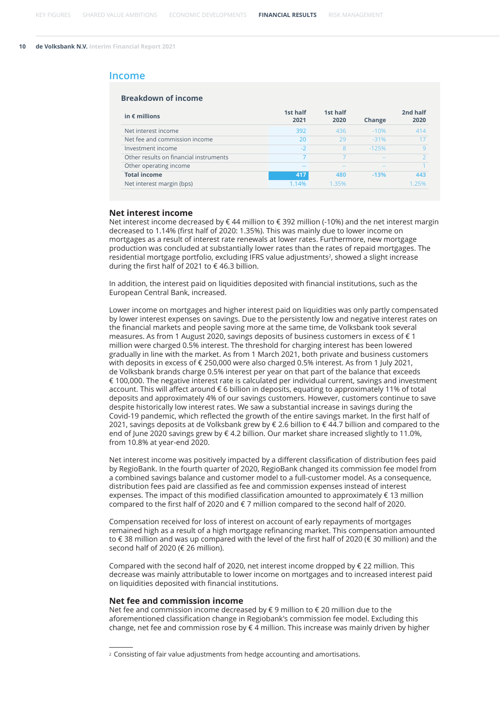#### **Income**

| in $\epsilon$ millions                 | 1st half<br>2021 | 1st half<br>2020 | Change        | 2nd half<br>2020 |
|----------------------------------------|------------------|------------------|---------------|------------------|
| Net interest income                    | 392              | 436              | $-10%$        | 414              |
| Net fee and commission income          | 20               | 29               | $-31%$        | 17               |
| Investment income                      | $-2$             | 8                | $-125%$       | q                |
| Other results on financial instruments |                  |                  | $\frac{1}{2}$ |                  |
| Other operating income                 | $- -$            | --               | $\frac{1}{2}$ |                  |
| <b>Total income</b>                    | 417              | 480              | $-13%$        | 443              |
| Net interest margin (bps)              | 1.14%            | 1.35%            |               | 25%              |

#### **Net interest income**

Net interest income decreased by € 44 million to € 392 million (-10%) and the net interest margin decreased to 1.14% (first half of 2020: 1.35%). This was mainly due to lower income on mortgages as a result of interest rate renewals at lower rates. Furthermore, new mortgage production was concluded at substantially lower rates than the rates of repaid mortgages. The residential mortgage portfolio, excluding IFRS value adjustments<sup>2</sup>, showed a slight increase during the first half of 2021 to  $\epsilon$  46.3 billion.

In addition, the interest paid on liquidities deposited with financial institutions, such as the European Central Bank, increased.

Lower income on mortgages and higher interest paid on liquidities was only partly compensated by lower interest expenses on savings. Due to the persistently low and negative interest rates on the financial markets and people saving more at the same time, de Volksbank took several measures. As from 1 August 2020, savings deposits of business customers in excess of  $\epsilon$  1 million were charged 0.5% interest. The threshold for charging interest has been lowered gradually in line with the market. As from 1 March 2021, both private and business customers with deposits in excess of € 250,000 were also charged 0.5% interest. As from 1 July 2021, de Volksbank brands charge 0.5% interest per year on that part of the balance that exceeds € 100,000. The negative interest rate is calculated per individual current, savings and investment account. This will affect around € 6 billion in deposits, equating to approximately 11% of total deposits and approximately 4% of our savings customers. However, customers continue to save despite historically low interest rates. We saw a substantial increase in savings during the Covid-19 pandemic, which reflected the growth of the entire savings market. In the first half of 2021, savings deposits at de Volksbank grew by € 2.6 billion to € 44.7 billion and compared to the end of June 2020 savings grew by € 4.2 billion. Our market share increased slightly to 11.0%, from 10.8% at year-end 2020.

Net interest income was positively impacted by a different classification of distribution fees paid by RegioBank. In the fourth quarter of 2020, RegioBank changed its commission fee model from a combined savings balance and customer model to a full-customer model. As a consequence, distribution fees paid are classified as fee and commission expenses instead of interest expenses. The impact of this modified classification amounted to approximately  $\epsilon$  13 million compared to the first half of 2020 and  $\epsilon$  7 million compared to the second half of 2020.

Compensation received for loss of interest on account of early repayments of mortgages remained high as a result of a high mortgage refinancing market. This compensation amounted to € 38 million and was up compared with the level of the first half of 2020 (€ 30 million) and the second half of 2020 (€ 26 million).

Compared with the second half of 2020, net interest income dropped by € 22 million. This decrease was mainly attributable to lower income on mortgages and to increased interest paid on liquidities deposited with financial institutions.

#### **Net fee and commission income**

Net fee and commission income decreased by € 9 million to € 20 million due to the aforementioned classification change in Regiobank's commission fee model. Excluding this change, net fee and commission rose by  $\epsilon$  4 million. This increase was mainly driven by higher

<sup>2</sup> Consisting of fair value adjustments from hedge accounting and amortisations.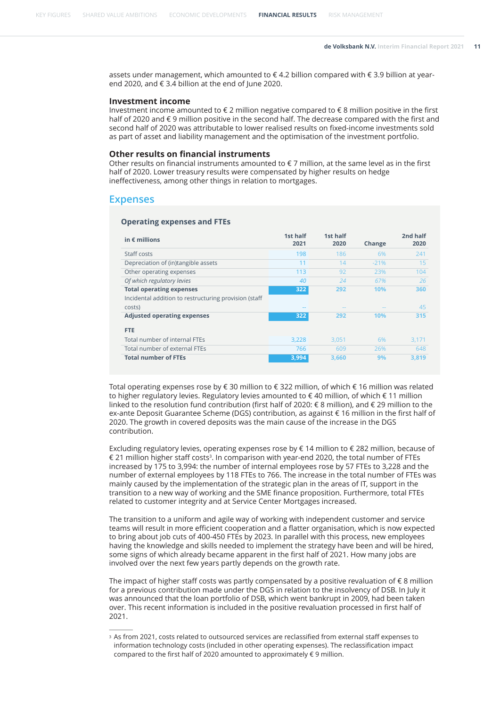assets under management, which amounted to € 4.2 billion compared with € 3.9 billion at yearend 2020, and € 3.4 billion at the end of June 2020.

#### **Investment income**

Investment income amounted to  $\epsilon$  2 million negative compared to  $\epsilon$  8 million positive in the first half of 2020 and € 9 million positive in the second half. The decrease compared with the first and second half of 2020 was attributable to lower realised results on fixed-income investments sold as part of asset and liability management and the optimisation of the investment portfolio.

#### **Other results on financial instruments**

Other results on financial instruments amounted to  $\epsilon$  7 million, at the same level as in the first half of 2020. Lower treasury results were compensated by higher results on hedge ineffectiveness, among other things in relation to mortgages.

#### **Expenses**

#### **Operating expenses and FTEs**

| in $\epsilon$ millions                                          | 1st half<br>2021 | 1st half<br>2020 | Change | 2nd half<br>2020 |
|-----------------------------------------------------------------|------------------|------------------|--------|------------------|
| Staff costs                                                     | 198              | 186              | 6%     | 241              |
| Depreciation of (in)tangible assets                             | 11               | 14               | $-21%$ | 15               |
| Other operating expenses                                        | 113              | 92               | 23%    | 104              |
| Of which regulatory levies                                      | 40               | 24               | 67%    | 26               |
| <b>Total operating expenses</b>                                 | 322              | 292              | 10%    | 360              |
| Incidental addition to restructuring provision (staff<br>costs) |                  | $-1$             |        | 45               |
| <b>Adjusted operating expenses</b>                              | 322              | 292              | 10%    | 315              |
| <b>FTE</b>                                                      |                  |                  |        |                  |
| Total number of internal FTEs                                   | 3,228            | 3.051            | 6%     | 3,171            |
| Total number of external FTEs                                   | 766              | 609              | 26%    | 648              |
| <b>Total number of FTEs</b>                                     | 3,994            | 3,660            | 9%     | 3,819            |

Total operating expenses rose by € 30 million to € 322 million, of which € 16 million was related to higher regulatory levies. Regulatory levies amounted to  $\epsilon$  40 million, of which  $\epsilon$  11 million linked to the resolution fund contribution (first half of 2020: € 8 million), and € 29 million to the ex-ante Deposit Guarantee Scheme (DGS) contribution, as against € 16 million in the first half of 2020. The growth in covered deposits was the main cause of the increase in the DGS contribution.

Excluding regulatory levies, operating expenses rose by € 14 million to € 282 million, because of € 21 million higher staff costs $^3$ . In comparison with year-end 2020, the total number of FTEs increased by 175 to 3,994: the number of internal employees rose by 57 FTEs to 3,228 and the number of external employees by 118 FTEs to 766. The increase in the total number of FTEs was mainly caused by the implementation of the strategic plan in the areas of IT, support in the transition to a new way of working and the SME finance proposition. Furthermore, total FTEs related to customer integrity and at Service Center Mortgages increased.

The transition to a uniform and agile way of working with independent customer and service teams will result in more efficient cooperation and a flatter organisation, which is now expected to bring about job cuts of 400-450 FTEs by 2023. In parallel with this process, new employees having the knowledge and skills needed to implement the strategy have been and will be hired, some signs of which already became apparent in the first half of 2021. How many jobs are involved over the next few years partly depends on the growth rate.

The impact of higher staff costs was partly compensated by a positive revaluation of  $\epsilon$  8 million for a previous contribution made under the DGS in relation to the insolvency of DSB. In July it was announced that the loan portfolio of DSB, which went bankrupt in 2009, had been taken over. This recent information is included in the positive revaluation processed in first half of 2021.

<sup>3</sup> As from 2021, costs related to outsourced services are reclassified from external staff expenses to information technology costs (included in other operating expenses). The reclassification impact compared to the first half of 2020 amounted to approximately € 9 million.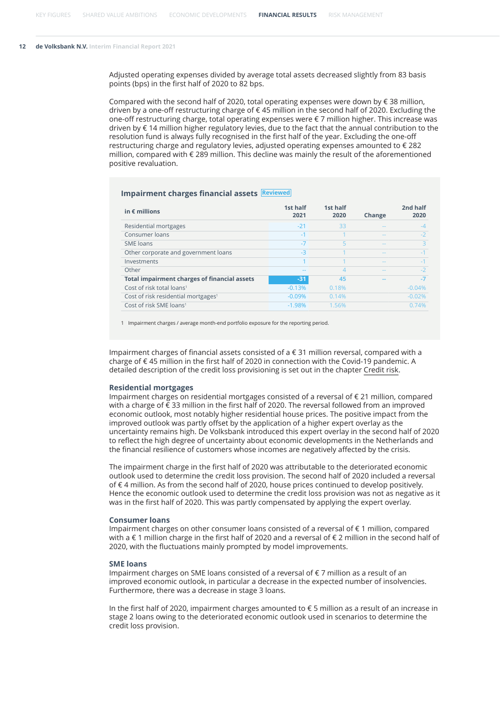Adjusted operating expenses divided by average total assets decreased slightly from 83 basis points (bps) in the first half of 2020 to 82 bps.

Compared with the second half of 2020, total operating expenses were down by  $\epsilon$  38 million, driven by a one-off restructuring charge of € 45 million in the second half of 2020. Excluding the one-off restructuring charge, total operating expenses were € 7 million higher. This increase was driven by € 14 million higher regulatory levies, due to the fact that the annual contribution to the resolution fund is always fully recognised in the first half of the year. Excluding the one-off restructuring charge and regulatory levies, adjusted operating expenses amounted to € 282 million, compared with € 289 million. This decline was mainly the result of the aforementioned positive revaluation.

#### **Impairment charges financial assets Reviewed**

| in $\epsilon$ millions                              | 1st half<br>2021 | 1st half<br>2020 | Change        | 2nd half<br>2020 |
|-----------------------------------------------------|------------------|------------------|---------------|------------------|
| Residential mortgages                               | $-21$            | 33               | $\frac{1}{2}$ | $-4$             |
| Consumer loans                                      | $-1$             |                  | $\frac{1}{2}$ | $-2$             |
| SME loans                                           | $-7$             |                  | $\frac{1}{2}$ |                  |
| Other corporate and government loans                | $-3$             |                  | $\frac{1}{2}$ | $-1$             |
| Investments                                         |                  |                  | $\frac{1}{2}$ | $-1$             |
| Other                                               | --               |                  | --            | $-2$             |
| <b>Total impairment charges of financial assets</b> | $-31$            | 45               |               | $-7$             |
| Cost of risk total loans <sup>1</sup>               | $-0.13%$         | 0.18%            |               | $-0.04%$         |
| Cost of risk residential mortgages <sup>1</sup>     | $-0.09%$         | 0.14%            |               | $-0.02%$         |
| Cost of risk SME loans <sup>1</sup>                 | $-1.98%$         | 1.56%            |               | 0.74%            |

1 Impairment charges / average month-end portfolio exposure for the reporting period.

Impairment charges of financial assets consisted of a € 31 million reversal, compared with a charge of € 45 million in the first half of 2020 in connection with the Covid-19 pandemic. A detailed description of the credit loss provisioning is set out in the chapter [Credit risk.](#page-13-0)

#### **Residential mortgages**

Impairment charges on residential mortgages consisted of a reversal of € 21 million, compared with a charge of € 33 million in the first half of 2020. The reversal followed from an improved economic outlook, most notably higher residential house prices. The positive impact from the improved outlook was partly offset by the application of a higher expert overlay as the uncertainty remains high. De Volksbank introduced this expert overlay in the second half of 2020 to reflect the high degree of uncertainty about economic developments in the Netherlands and the financial resilience of customers whose incomes are negatively affected by the crisis.

The impairment charge in the first half of 2020 was attributable to the deteriorated economic outlook used to determine the credit loss provision. The second half of 2020 included a reversal of € 4 million. As from the second half of 2020, house prices continued to develop positively. Hence the economic outlook used to determine the credit loss provision was not as negative as it was in the first half of 2020. This was partly compensated by applying the expert overlay.

#### **Consumer loans**

Impairment charges on other consumer loans consisted of a reversal of € 1 million, compared with a € 1 million charge in the first half of 2020 and a reversal of € 2 million in the second half of 2020, with the fluctuations mainly prompted by model improvements.

#### **SME loans**

Impairment charges on SME loans consisted of a reversal of € 7 million as a result of an improved economic outlook, in particular a decrease in the expected number of insolvencies. Furthermore, there was a decrease in stage 3 loans.

In the first half of 2020, impairment charges amounted to € 5 million as a result of an increase in stage 2 loans owing to the deteriorated economic outlook used in scenarios to determine the credit loss provision.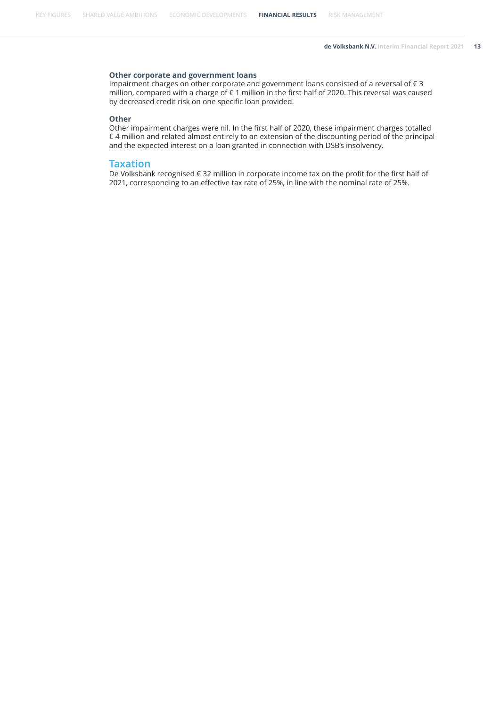#### **Other corporate and government loans**

Impairment charges on other corporate and government loans consisted of a reversal of € 3 million, compared with a charge of € 1 million in the first half of 2020. This reversal was caused by decreased credit risk on one specific loan provided.

#### **Other**

Other impairment charges were nil. In the first half of 2020, these impairment charges totalled € 4 million and related almost entirely to an extension of the discounting period of the principal and the expected interest on a loan granted in connection with DSB's insolvency.

#### **Taxation**

De Volksbank recognised € 32 million in corporate income tax on the profit for the first half of 2021, corresponding to an effective tax rate of 25%, in line with the nominal rate of 25%.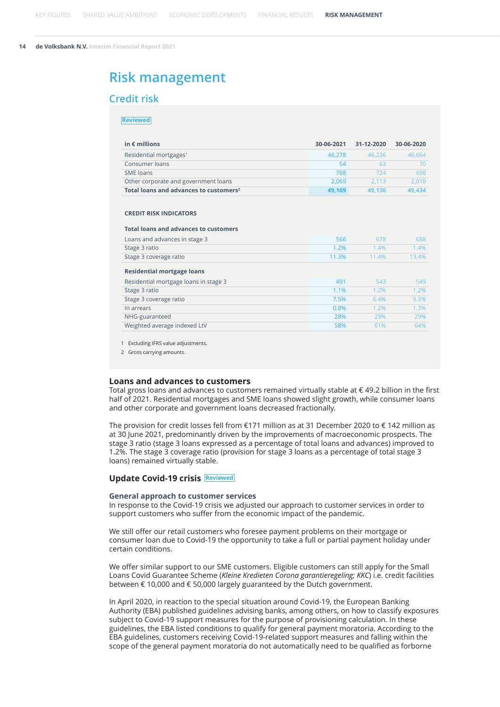## <span id="page-13-0"></span>**Risk management**

#### **Credit risk**

#### **Reviewed**

| in $\epsilon$ millions                             | 30-06-2021 | 31-12-2020 | 30-06-2020 |
|----------------------------------------------------|------------|------------|------------|
| Residential mortgages <sup>1</sup>                 | 46.278     | 46.236     | 46.664     |
| Consumer loans                                     | 54         | 63         |            |
| SME loans                                          | 768        | 724        | 690        |
| Other corporate and government loans               | 2.069      | 2.113      | 2.010      |
| Total loans and advances to customers <sup>2</sup> | 49.169     | 49.136     | 49.434     |

#### **CREDIT RISK INDICATORS**

#### **Total loans and advances to customers**

| Loans and advances in stage 3         | 566   | 678   | 688   |
|---------------------------------------|-------|-------|-------|
| Stage 3 ratio                         | 1.2%  | 1.4%  | 1.4%  |
| Stage 3 coverage ratio                | 11.3% | 11.4% | 13.4% |
| <b>Residential mortgage loans</b>     |       |       |       |
| Residential mortgage loans in stage 3 | 491   | 543   | 549   |
| Stage 3 ratio                         | 1.1%  | 1.2%  | 1.2%  |
| Stage 3 coverage ratio                | 7.5%  | 6.4%  | 9.3%  |
| In arrears                            | 0.8%  | 1.2%  | 1.3%  |
| NHG-guaranteed                        | 28%   | 29%   | 29%   |
| Weighted average indexed LtV          | 58%   | 61%   | 64%   |

1 Excluding IFRS value adjustments.

2 Gross carrying amounts.

#### **Loans and advances to customers**

Total gross loans and advances to customers remained virtually stable at € 49.2 billion in the first half of 2021. Residential mortgages and SME loans showed slight growth, while consumer loans and other corporate and government loans decreased fractionally.

The provision for credit losses fell from €171 million as at 31 December 2020 to € 142 million as at 30 June 2021, predominantly driven by the improvements of macroeconomic prospects. The stage 3 ratio (stage 3 loans expressed as a percentage of total loans and advances) improved to 1.2%. The stage 3 coverage ratio (provision for stage 3 loans as a percentage of total stage 3 loans) remained virtually stable.

#### **Update Covid-19 crisis Reviewed**

#### **General approach to customer services**

In response to the Covid-19 crisis we adjusted our approach to customer services in order to support customers who suffer from the economic impact of the pandemic.

We still offer our retail customers who foresee payment problems on their mortgage or consumer loan due to Covid-19 the opportunity to take a full or partial payment holiday under certain conditions.

We offer similar support to our SME customers. Eligible customers can still apply for the Small Loans Covid Guarantee Scheme (*Kleine Kredieten Corona garantieregeling; KKC*) i.e. credit facilities between € 10,000 and € 50,000 largely guaranteed by the Dutch government.

In April 2020, in reaction to the special situation around Covid-19, the European Banking Authority (EBA) published guidelines advising banks, among others, on how to classify exposures subject to Covid-19 support measures for the purpose of provisioning calculation. In these guidelines, the EBA listed conditions to qualify for general payment moratoria. According to the EBA guidelines, customers receiving Covid-19-related support measures and falling within the scope of the general payment moratoria do not automatically need to be qualified as forborne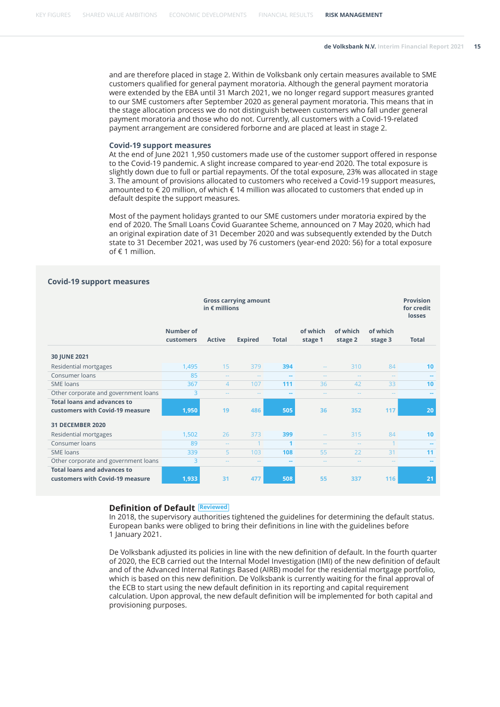and are therefore placed in stage 2. Within de Volksbank only certain measures available to SME customers qualified for general payment moratoria. Although the general payment moratoria were extended by the EBA until 31 March 2021, we no longer regard support measures granted to our SME customers after September 2020 as general payment moratoria. This means that in the stage allocation process we do not distinguish between customers who fall under general payment moratoria and those who do not. Currently, all customers with a Covid-19-related payment arrangement are considered forborne and are placed at least in stage 2.

#### **Covid-19 support measures**

At the end of June 2021 1,950 customers made use of the customer support offered in response to the Covid-19 pandemic. A slight increase compared to year-end 2020. The total exposure is slightly down due to full or partial repayments. Of the total exposure, 23% was allocated in stage 3. The amount of provisions allocated to customers who received a Covid-19 support measures, amounted to  $\epsilon$  20 million, of which  $\epsilon$  14 million was allocated to customers that ended up in default despite the support measures.

Most of the payment holidays granted to our SME customers under moratoria expired by the end of 2020. The Small Loans Covid Guarantee Scheme, announced on 7 May 2020, which had an original expiration date of 31 December 2020 and was subsequently extended by the Dutch state to 31 December 2021, was used by 76 customers (year-end 2020: 56) for a total exposure of € 1 million.

#### **Covid-19 support measures**

|                                      | <b>Gross carrying amount</b><br>in $\epsilon$ millions |                |                |              |                     |                     |                     | <b>Provision</b><br>for credit<br>losses |
|--------------------------------------|--------------------------------------------------------|----------------|----------------|--------------|---------------------|---------------------|---------------------|------------------------------------------|
|                                      | Number of<br>customers                                 | <b>Active</b>  | <b>Expired</b> | <b>Total</b> | of which<br>stage 1 | of which<br>stage 2 | of which<br>stage 3 | <b>Total</b>                             |
| 30 JUNE 2021                         |                                                        |                |                |              |                     |                     |                     |                                          |
| Residential mortgages                | 1,495                                                  | 15             | 379            | 394          |                     | 310                 | 84                  | 10 <sup>1</sup>                          |
| Consumer loans                       | 85                                                     | $\sim$ $\sim$  | $\frac{1}{2}$  |              |                     | $\sim$ $\sim$       | $\sim$ $\sim$       |                                          |
| SME loans                            | 367                                                    | $\overline{4}$ | 107            | 111          | 36                  | 42                  | 33                  | 10                                       |
| Other corporate and government loans | 3                                                      | $\overline{a}$ | $-1$           | $\sim$       |                     | $-$                 | $\sim$ $\sim$       | $\sim$                                   |
| <b>Total loans and advances to</b>   |                                                        |                |                |              |                     |                     |                     |                                          |
| customers with Covid-19 measure      | 1,950                                                  | 19             | 486            | 505          | 36                  | 352                 | 117                 | 20                                       |
| <b>31 DECEMBER 2020</b>              |                                                        |                |                |              |                     |                     |                     |                                          |
| Residential mortgages                | 1,502                                                  | 26             | 373            | 399          | 44                  | 315                 | 84                  | 10                                       |
| Consumer loans                       | 89                                                     | $\sim$ $\sim$  |                | 1            | --                  | $\sim$ $\sim$       |                     |                                          |
| SME loans                            | 339                                                    | 5              | 103            | 108          | 55                  | 22                  | 31                  | 11                                       |
| Other corporate and government loans | 3                                                      | $\frac{1}{2}$  | $\frac{1}{2}$  | --           |                     | --                  | $\sim$ $\sim$       | --                                       |
| <b>Total loans and advances to</b>   |                                                        |                |                |              |                     |                     |                     |                                          |
| customers with Covid-19 measure      | 1,933                                                  | 31             | 477            | 508          | 55                  | 337                 | 116                 | 21                                       |

#### **Definition of Default Reviewed**

In 2018, the supervisory authorities tightened the guidelines for determining the default status. European banks were obliged to bring their definitions in line with the guidelines before 1 January 2021.

De Volksbank adjusted its policies in line with the new definition of default. In the fourth quarter of 2020, the ECB carried out the Internal Model Investigation (IMI) of the new definition of default and of the Advanced Internal Ratings Based (AIRB) model for the residential mortgage portfolio, which is based on this new definition. De Volksbank is currently waiting for the final approval of the ECB to start using the new default definition in its reporting and capital requirement calculation. Upon approval, the new default definition will be implemented for both capital and provisioning purposes.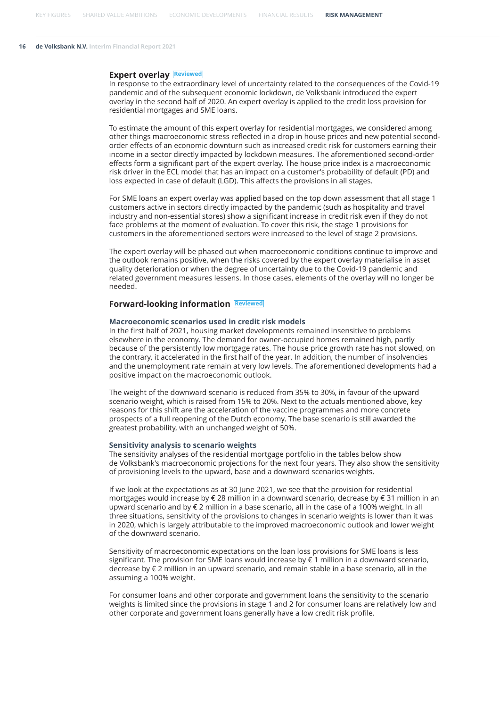#### **Expert overlay Reviewed**

In response to the extraordinary level of uncertainty related to the consequences of the Covid-19 pandemic and of the subsequent economic lockdown, de Volksbank introduced the expert overlay in the second half of 2020. An expert overlay is applied to the credit loss provision for residential mortgages and SME loans.

To estimate the amount of this expert overlay for residential mortgages, we considered among other things macroeconomic stress reflected in a drop in house prices and new potential secondorder effects of an economic downturn such as increased credit risk for customers earning their income in a sector directly impacted by lockdown measures. The aforementioned second-order effects form a significant part of the expert overlay. The house price index is a macroeconomic risk driver in the ECL model that has an impact on a customer's probability of default (PD) and loss expected in case of default (LGD). This affects the provisions in all stages.

For SME loans an expert overlay was applied based on the top down assessment that all stage 1 customers active in sectors directly impacted by the pandemic (such as hospitality and travel industry and non-essential stores) show a significant increase in credit risk even if they do not face problems at the moment of evaluation. To cover this risk, the stage 1 provisions for customers in the aforementioned sectors were increased to the level of stage 2 provisions.

The expert overlay will be phased out when macroeconomic conditions continue to improve and the outlook remains positive, when the risks covered by the expert overlay materialise in asset quality deterioration or when the degree of uncertainty due to the Covid-19 pandemic and related government measures lessens. In those cases, elements of the overlay will no longer be needed.

#### **Forward-looking information Reviewed**

#### **Macroeconomic scenarios used in credit risk models**

In the first half of 2021, housing market developments remained insensitive to problems elsewhere in the economy. The demand for owner-occupied homes remained high, partly because of the persistently low mortgage rates. The house price growth rate has not slowed, on the contrary, it accelerated in the first half of the year. In addition, the number of insolvencies and the unemployment rate remain at very low levels. The aforementioned developments had a positive impact on the macroeconomic outlook.

The weight of the downward scenario is reduced from 35% to 30%, in favour of the upward scenario weight, which is raised from 15% to 20%. Next to the actuals mentioned above, key reasons for this shift are the acceleration of the vaccine programmes and more concrete prospects of a full reopening of the Dutch economy. The base scenario is still awarded the greatest probability, with an unchanged weight of 50%.

#### **Sensitivity analysis to scenario weights**

The sensitivity analyses of the residential mortgage portfolio in the tables below show de Volksbank's macroeconomic projections for the next four years. They also show the sensitivity of provisioning levels to the upward, base and a downward scenarios weights.

If we look at the expectations as at 30 June 2021, we see that the provision for residential mortgages would increase by € 28 million in a downward scenario, decrease by € 31 million in an upward scenario and by € 2 million in a base scenario, all in the case of a 100% weight. In all three situations, sensitivity of the provisions to changes in scenario weights is lower than it was in 2020, which is largely attributable to the improved macroeconomic outlook and lower weight of the downward scenario.

Sensitivity of macroeconomic expectations on the loan loss provisions for SME loans is less significant. The provision for SME loans would increase by  $\epsilon$  1 million in a downward scenario, decrease by € 2 million in an upward scenario, and remain stable in a base scenario, all in the assuming a 100% weight.

For consumer loans and other corporate and government loans the sensitivity to the scenario weights is limited since the provisions in stage 1 and 2 for consumer loans are relatively low and other corporate and government loans generally have a low credit risk profile.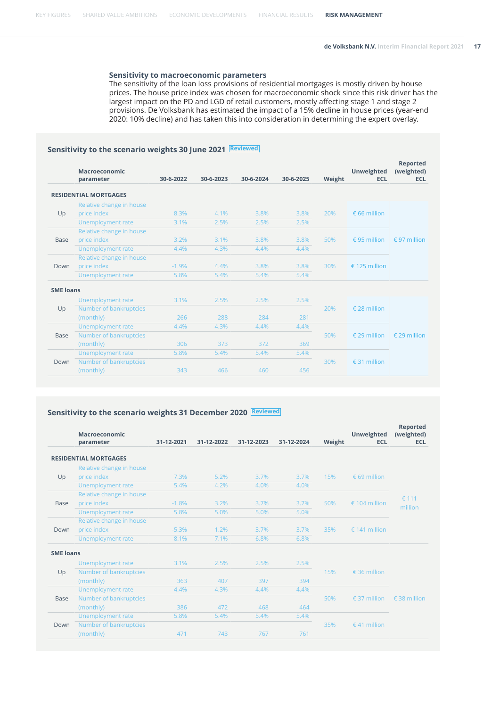#### **Sensitivity to macroeconomic parameters**

The sensitivity of the loan loss provisions of residential mortgages is mostly driven by house prices. The house price index was chosen for macroeconomic shock since this risk driver has the largest impact on the PD and LGD of retail customers, mostly affecting stage 1 and stage 2 provisions. De Volksbank has estimated the impact of a 15% decline in house prices (year-end 2020: 10% decline) and has taken this into consideration in determining the expert overlay.

#### **Sensitivity to the scenario weights 30 June 2021 Reviewed**

|                  | <b>Macroeconomic</b><br>parameter | 30-6-2022 | 30-6-2023 | 30-6-2024 | 30-6-2025 | Weight | <b>Unweighted</b><br><b>ECL</b> | <b>Reported</b><br>(weighted)<br><b>ECL</b> |
|------------------|-----------------------------------|-----------|-----------|-----------|-----------|--------|---------------------------------|---------------------------------------------|
|                  |                                   |           |           |           |           |        |                                 |                                             |
|                  | <b>RESIDENTIAL MORTGAGES</b>      |           |           |           |           |        |                                 |                                             |
|                  | Relative change in house          |           |           |           |           |        |                                 |                                             |
| Up               | price index                       | 8.3%      | 4.1%      | 3.8%      | 3.8%      | 20%    | $\epsilon$ 66 million           |                                             |
|                  | <b>Unemployment rate</b>          | 3.1%      | 2.5%      | 2.5%      | 2.5%      |        |                                 |                                             |
|                  | Relative change in house          |           |           |           |           |        |                                 |                                             |
| <b>Base</b>      | price index                       | 3.2%      | 3.1%      | 3.8%      | 3.8%      | 50%    | € 95 million                    | € 97 million                                |
|                  | Unemployment rate                 | 4.4%      | 4.3%      | 4.4%      | 4.4%      |        |                                 |                                             |
|                  | Relative change in house          |           |           |           |           |        |                                 |                                             |
| Down             | price index                       | $-1.9%$   | 4.4%      | 3.8%      | 3.8%      | 30%    | € 125 million                   |                                             |
|                  | <b>Unemployment rate</b>          | 5.8%      | 5.4%      | 5.4%      | 5.4%      |        |                                 |                                             |
| <b>SME loans</b> |                                   |           |           |           |           |        |                                 |                                             |
|                  | Unemployment rate                 | 3.1%      | 2.5%      | 2.5%      | 2.5%      |        |                                 |                                             |
| Up               | Number of bankruptcies            |           |           |           |           | 20%    | $£$ 28 million                  |                                             |
|                  | (monthly)                         | 266       | 288       | 284       | 281       |        |                                 |                                             |
|                  | <b>Unemployment rate</b>          | 4.4%      | 4.3%      | 4.4%      | 4.4%      |        |                                 |                                             |
| <b>Base</b>      | Number of bankruptcies            |           |           |           |           | 50%    | € 29 million                    | € 29 million                                |
|                  | (monthly)                         | 306       | 373       | 372       | 369       |        |                                 |                                             |
|                  | <b>Unemployment rate</b>          | 5.8%      | 5.4%      | 5.4%      | 5.4%      |        |                                 |                                             |
| Down             | Number of bankruptcies            |           |           |           |           | 30%    | € 31 million                    |                                             |
|                  | (monthly)                         | 343       | 466       | 460       | 456       |        |                                 |                                             |

### **Sensitivity to the scenario weights 31 December 2020 Reviewed**

|                  | <b>Macroeconomic</b><br>parameter | 31-12-2021 | 31-12-2022 | 31-12-2023 | 31-12-2024 | Weight | Unweighted<br><b>ECL</b> | <b>Reported</b><br>(weighted)<br><b>ECL</b> |         |  |
|------------------|-----------------------------------|------------|------------|------------|------------|--------|--------------------------|---------------------------------------------|---------|--|
|                  | <b>RESIDENTIAL MORTGAGES</b>      |            |            |            |            |        |                          |                                             |         |  |
|                  | Relative change in house          |            |            |            |            |        |                          |                                             |         |  |
| Up               | price index                       | 7.3%       | 5.2%       | 3.7%       | 3.7%       | 15%    | € 69 million             |                                             |         |  |
|                  | Unemployment rate                 | 5.4%       | 4.2%       | 4.0%       | 4.0%       |        |                          |                                             |         |  |
|                  | Relative change in house          |            |            |            |            |        |                          | € 111                                       |         |  |
| <b>Base</b>      | price index                       | $-1.8%$    | 3.2%       | 3.7%       | 3.7%       | 50%    | € 104 million            |                                             | million |  |
|                  | Unemployment rate                 | 5.8%       | 5.0%       | 5.0%       | 5.0%       |        |                          |                                             |         |  |
|                  | Relative change in house          |            |            |            |            |        |                          |                                             |         |  |
| Down             | price index                       | $-5.3%$    | 1.2%       | 3.7%       | 3.7%       | 35%    | € 141 million            |                                             |         |  |
|                  | Unemployment rate                 | 8.1%       | 7.1%       | 6.8%       | 6.8%       |        |                          |                                             |         |  |
| <b>SME loans</b> |                                   |            |            |            |            |        |                          |                                             |         |  |
|                  | Unemployment rate                 | 3.1%       | 2.5%       | 2.5%       | 2.5%       |        |                          |                                             |         |  |
| Up               | Number of bankruptcies            |            |            |            |            | 15%    | € 36 million             |                                             |         |  |
|                  | (monthly)                         | 363        | 407        | 397        | 394        |        |                          |                                             |         |  |
|                  | Unemployment rate                 | 4.4%       | 4.3%       | 4.4%       | 4.4%       |        |                          |                                             |         |  |
| <b>Base</b>      | Number of bankruptcies            |            |            |            |            | 50%    | € 37 million             | $£$ 38 million                              |         |  |
|                  | (monthly)                         | 386        | 472        | 468        | 464        |        |                          |                                             |         |  |
|                  | Unemployment rate                 | 5.8%       | 5.4%       | 5.4%       | 5.4%       |        |                          |                                             |         |  |
| Down             | Number of bankruptcies            |            |            |            |            | 35%    | €41 million              |                                             |         |  |
|                  | (monthly)                         | 471        | 743        | 767        | 761        |        |                          |                                             |         |  |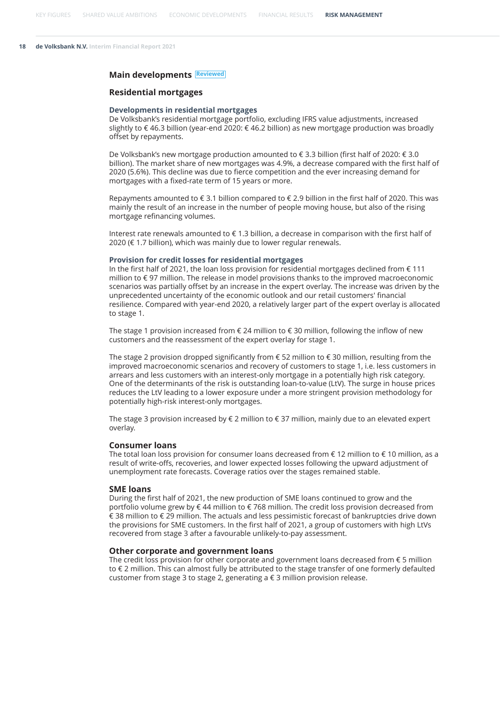#### **Main developments Reviewed**

#### **Residential mortgages**

#### **Developments in residential mortgages**

De Volksbank's residential mortgage portfolio, excluding IFRS value adjustments, increased slightly to € 46.3 billion (year-end 2020: € 46.2 billion) as new mortgage production was broadly offset by repayments.

De Volksbank's new mortgage production amounted to € 3.3 billion (first half of 2020: € 3.0 billion). The market share of new mortgages was 4.9%, a decrease compared with the first half of 2020 (5.6%). This decline was due to fierce competition and the ever increasing demand for mortgages with a fixed-rate term of 15 years or more.

Repayments amounted to  $\epsilon$  3.1 billion compared to  $\epsilon$  2.9 billion in the first half of 2020. This was mainly the result of an increase in the number of people moving house, but also of the rising mortgage refinancing volumes.

Interest rate renewals amounted to € 1.3 billion, a decrease in comparison with the first half of 2020 (€ 1.7 billion), which was mainly due to lower regular renewals.

#### **Provision for credit losses for residential mortgages**

In the first half of 2021, the loan loss provision for residential mortgages declined from  $\epsilon$  111 million to € 97 million. The release in model provisions thanks to the improved macroeconomic scenarios was partially offset by an increase in the expert overlay. The increase was driven by the unprecedented uncertainty of the economic outlook and our retail customers' financial resilience. Compared with year-end 2020, a relatively larger part of the expert overlay is allocated to stage 1.

The stage 1 provision increased from € 24 million to € 30 million, following the inflow of new customers and the reassessment of the expert overlay for stage 1.

The stage 2 provision dropped significantly from € 52 million to € 30 million, resulting from the improved macroeconomic scenarios and recovery of customers to stage 1, i.e. less customers in arrears and less customers with an interest-only mortgage in a potentially high risk category. One of the determinants of the risk is outstanding loan-to-value (LtV). The surge in house prices reduces the LtV leading to a lower exposure under a more stringent provision methodology for potentially high-risk interest-only mortgages.

The stage 3 provision increased by  $\epsilon$  2 million to  $\epsilon$  37 million, mainly due to an elevated expert overlay.

#### **Consumer loans**

The total loan loss provision for consumer loans decreased from € 12 million to € 10 million, as a result of write-offs, recoveries, and lower expected losses following the upward adjustment of unemployment rate forecasts. Coverage ratios over the stages remained stable.

#### **SME loans**

During the first half of 2021, the new production of SME loans continued to grow and the portfolio volume grew by € 44 million to € 768 million. The credit loss provision decreased from € 38 million to € 29 million. The actuals and less pessimistic forecast of bankruptcies drive down the provisions for SME customers. In the first half of 2021, a group of customers with high LtVs recovered from stage 3 after a favourable unlikely-to-pay assessment.

#### **Other corporate and government loans**

The credit loss provision for other corporate and government loans decreased from  $\epsilon$  5 million to € 2 million. This can almost fully be attributed to the stage transfer of one formerly defaulted customer from stage 3 to stage 2, generating a € 3 million provision release.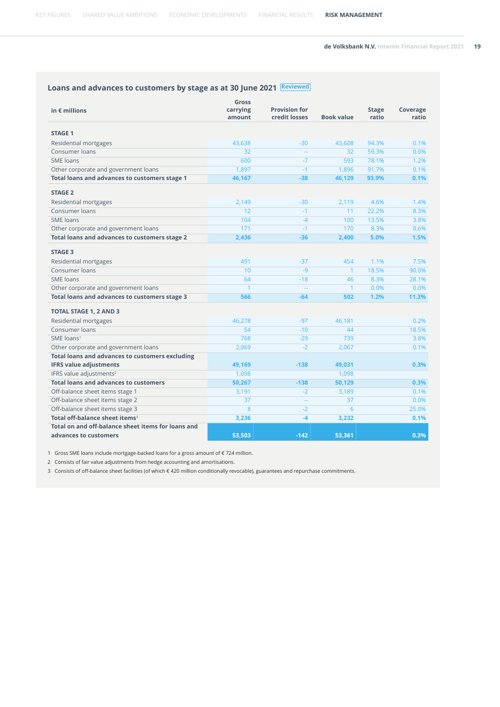## **Loans and advances to customers by stage as at 30 June 2021 Reviewed**

| in $\epsilon$ millions                                 | Gross<br>carrying<br>amount | <b>Provision for</b><br>credit losses | <b>Book value</b> | <b>Stage</b><br>ratio | Coverage<br>ratio |
|--------------------------------------------------------|-----------------------------|---------------------------------------|-------------------|-----------------------|-------------------|
| <b>STAGE 1</b>                                         |                             |                                       |                   |                       |                   |
| Residential mortgages                                  | 43,638                      | $-30$                                 | 43,608            | 94.3%                 | 0.1%              |
| Consumer loans                                         | 32                          |                                       | 32                | 59.3%                 | 0.0%              |
| SME loans                                              | 600                         | $-7$                                  | 593               | 78.1%                 | 1.2%              |
| Other corporate and government loans                   | 1,897                       | $-1$                                  | 1,896             | 91.7%                 | 0.1%              |
| Total loans and advances to customers stage 1          | 46,167                      | $-38$                                 | 46,129            | 93.9%                 | 0.1%              |
| <b>STAGE 2</b>                                         |                             |                                       |                   |                       |                   |
| Residential mortgages                                  | 2,149                       | $-30$                                 | 2,119             | 4.6%                  | 1.4%              |
| Consumer loans                                         | 12                          | $-1$                                  | 11                | 22.2%                 | 8.3%              |
| SME loans                                              | 104                         | $-4$                                  | 100               | 13.5%                 | 3.8%              |
| Other corporate and government loans                   | 171                         | $-1$                                  | 170               | 8.3%                  | 0.6%              |
| Total loans and advances to customers stage 2          | 2,436                       | $-36$                                 | 2,400             | 5.0%                  | 1.5%              |
| <b>STAGE 3</b>                                         |                             |                                       |                   |                       |                   |
| Residential mortgages                                  | 491                         | $-37$                                 | 454               | 1.1%                  | 7.5%              |
| Consumer loans                                         | 10                          | $-9$                                  | $\mathbf{1}$      | 18.5%                 | 90.0%             |
| <b>SME</b> loans                                       | 64                          | $-18$                                 | 46                | 8.3%                  | 28.1%             |
| Other corporate and government loans                   | $\mathbf{1}$                | $\mathcal{L}_{\mathcal{A}}$           | $\mathbf{1}$      | 0.0%                  | 0.0%              |
| Total loans and advances to customers stage 3          | 566                         | $-64$                                 | 502               | 1.2%                  | 11.3%             |
| <b>TOTAL STAGE 1, 2 AND 3</b>                          |                             |                                       |                   |                       |                   |
| <b>Residential mortgages</b>                           | 46,278                      | $-97$                                 | 46,181            |                       | 0.2%              |
| Consumer loans                                         | 54                          | $-10$                                 | 44                |                       | 18.5%             |
| SME loans <sup>1</sup>                                 | 768                         | $-29$                                 | 739               |                       | 3.8%              |
| Other corporate and government loans                   | 2,069                       | $-2$                                  | 2,067             |                       | 0.1%              |
| <b>Total loans and advances to customers excluding</b> |                             |                                       |                   |                       |                   |
| <b>IFRS value adjustments</b>                          | 49,169                      | $-138$                                | 49,031            |                       | 0.3%              |
| IFRS value adjustments <sup>2</sup>                    | 1,098                       |                                       | 1,098             |                       |                   |
| <b>Total loans and advances to customers</b>           | 50,267                      | $-138$                                | 50,129            |                       | 0.3%              |
| Off-balance sheet items stage 1                        | 3,191                       | $-2$                                  | 3,189             |                       | 0.1%              |
| Off-balance sheet items stage 2                        | 37                          | $\mathbb{L}^2$                        | 37                |                       | 0.0%              |
| Off-balance sheet items stage 3                        | 8                           | $-2$                                  | 6                 |                       | 25.0%             |
| Total off-balance sheet items <sup>3</sup>             | 3,236                       | $-4$                                  | 3,232             |                       | 0.1%              |
| Total on and off-balance sheet items for loans and     |                             |                                       |                   |                       |                   |
| advances to customers                                  | 53,503                      | $-142$                                | 53.361            |                       | 0.3%              |

1 Gross SME loans include mortgage-backed loans for a gross amount of € 724 million.

2 Consists of fair value adjustments from hedge accounting and amortisations.

3 Consists of off-balance sheet facilities (of which € 420 million conditionally revocable), guarantees and repurchase commitments.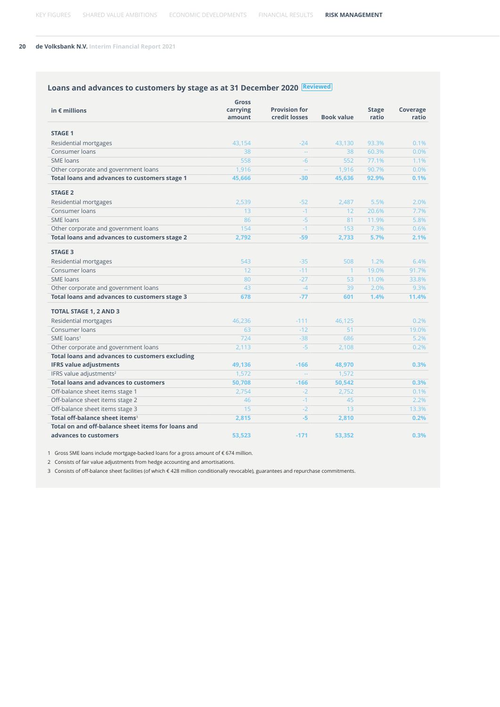## **Loans and advances to customers by stage as at 31 December 2020 Reviewed**

| in $\epsilon$ millions                                 | Gross<br>carrying | <b>Provision for</b> |                   | <b>Stage</b> | Coverage |
|--------------------------------------------------------|-------------------|----------------------|-------------------|--------------|----------|
|                                                        | amount            | credit losses        | <b>Book value</b> | ratio        | ratio    |
| <b>STAGE 1</b>                                         |                   |                      |                   |              |          |
| <b>Residential mortgages</b>                           | 43.154            | $-24$                | 43.130            | 93.3%        | 0.1%     |
| Consumer loans                                         | 38                | $\mathbb{Z}^2$       | 38                | 60.3%        | 0.0%     |
| <b>SME</b> loans                                       | 558               | $-6$                 | 552               | 77.1%        | 1.1%     |
| Other corporate and government loans                   | 1,916             | $\rightarrow$        | 1,916             | 90.7%        | 0.0%     |
| Total loans and advances to customers stage 1          | 45,666            | $-30$                | 45,636            | 92.9%        | 0.1%     |
| <b>STAGE 2</b>                                         |                   |                      |                   |              |          |
| Residential mortgages                                  | 2,539             | $-52$                | 2,487             | 5.5%         | 2.0%     |
| Consumer loans                                         | 13                | $-1$                 | 12                | 20.6%        | 7.7%     |
| <b>SME</b> loans                                       | 86                | $-5$                 | 81                | 11.9%        | 5.8%     |
| Other corporate and government loans                   | 154               | $-1$                 | 153               | 7.3%         | 0.6%     |
| Total loans and advances to customers stage 2          | 2,792             | $-59$                | 2,733             | 5.7%         | 2.1%     |
| <b>STAGE 3</b>                                         |                   |                      |                   |              |          |
| Residential mortgages                                  | 543               | $-35$                | 508               | 1.2%         | 6.4%     |
| Consumer loans                                         | 12                | $-11$                | $\mathbf{1}$      | 19.0%        | 91.7%    |
| <b>SME</b> loans                                       | 80                | $-27$                | 53                | 11.0%        | 33.8%    |
| Other corporate and government loans                   | 43                | $-4$                 | 39                | 2.0%         | 9.3%     |
| Total loans and advances to customers stage 3          | 678               | $-77$                | 601               | 1.4%         | 11.4%    |
| <b>TOTAL STAGE 1, 2 AND 3</b>                          |                   |                      |                   |              |          |
| Residential mortgages                                  | 46,236            | $-111$               | 46,125            |              | 0.2%     |
| Consumer loans                                         | 63                | $-12$                | 51                |              | 19.0%    |
| SME loans <sup>1</sup>                                 | 724               | $-38$                | 686               |              | 5.2%     |
| Other corporate and government loans                   | 2,113             | $-5$                 | 2,108             |              | 0.2%     |
| <b>Total loans and advances to customers excluding</b> |                   |                      |                   |              |          |
| <b>IFRS value adjustments</b>                          | 49,136            | $-166$               | 48,970            |              | 0.3%     |
| IFRS value adjustments <sup>2</sup>                    | 1,572             | н.                   | 1,572             |              |          |
| <b>Total loans and advances to customers</b>           | 50,708            | $-166$               | 50,542            |              | 0.3%     |
| Off-balance sheet items stage 1                        | 2,754             | $-2$                 | 2,752             |              | 0.1%     |
| Off-balance sheet items stage 2                        | 46                | $-1$                 | 45                |              | 2.2%     |
| Off-balance sheet items stage 3                        | 15                | $-2$                 | 13                |              | 13.3%    |
| Total off-balance sheet items <sup>3</sup>             | 2,815             | $-5$                 | 2,810             |              | 0.2%     |
| Total on and off-balance sheet items for loans and     |                   |                      |                   |              |          |
| advances to customers                                  | 53.523            | $-171$               | 53,352            |              | 0.3%     |

1 Gross SME loans include mortgage-backed loans for a gross amount of € 674 million.

2 Consists of fair value adjustments from hedge accounting and amortisations.

3 Consists of off-balance sheet facilities (of which € 428 million conditionally revocable), guarantees and repurchase commitments.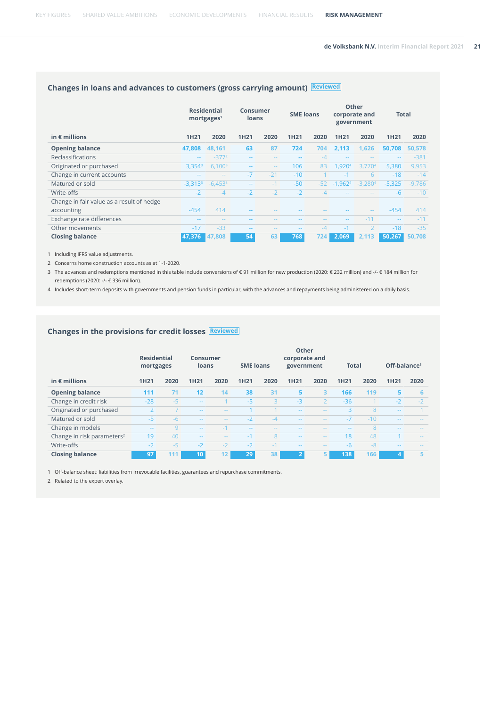## **Changes in loans and advances to customers (gross carrying amount) Reviewed**

|                                           |                       | <b>Residential</b><br>mortgages <sup>1</sup> | Consumer<br>loans        |               | <b>SME loans</b>         |       |                  | Other<br>corporate and<br>government | <b>Total</b>  |          |
|-------------------------------------------|-----------------------|----------------------------------------------|--------------------------|---------------|--------------------------|-------|------------------|--------------------------------------|---------------|----------|
| in $\epsilon$ millions                    | 1H <sub>21</sub>      | 2020                                         | <b>1H21</b>              | 2020          | <b>1H21</b>              | 2020  | 1H <sub>21</sub> | 2020                                 | <b>1H21</b>   | 2020     |
| <b>Opening balance</b>                    | 47.808                | 48,161                                       | 63                       | 87            | 724                      | 704   | 2,113            | 1.626                                | 50,708        | 50,578   |
| Reclassifications                         | $\sim$ $\sim$         | $-3772$                                      | $-$                      | $- -$         | $\overline{\phantom{m}}$ | $-4$  | $-$              | $\sim$ $\sim$                        | $\sim$ $\sim$ | $-381$   |
| Originated or purchased                   | 3.354 <sup>3</sup>    | 6.100 <sup>3</sup>                           | $\qquad \qquad \cdots$   | $\sim$ $-$    | 106                      | 83    | <b>.9204</b>     | 3.7704                               | 5.380         | 9,953    |
| Change in current accounts                | $-$                   | $\sim$ $\sim$                                | $-7$                     | $-21$         | $-10$                    |       | $-1$             | 6                                    | $-18$         | $-14$    |
| Matured or sold                           | $-3,313$ <sup>3</sup> | $-6.453$ <sup>3</sup>                        | $\overline{\phantom{m}}$ | $-1$          | $-50$                    | $-52$ | $-1,9624$        | $-3.2804$                            | $-5.325$      | $-9,786$ |
| Write-offs                                | $-2$                  | $-4$                                         | $-2$                     | $-2$          | $-2$                     | $-4$  | $-$              |                                      | $-6$          | $-10$    |
| Change in fair value as a result of hedge |                       |                                              |                          |               |                          |       |                  |                                      |               |          |
| accounting                                | $-454$                | 414                                          | --                       |               |                          |       |                  | $\frac{1}{2}$                        | $-454$        | 414      |
| Exchange rate differences                 | $-$                   | $ -$                                         |                          |               |                          | $- -$ | $-$              | $-11$                                | $\sim$ $\sim$ | $-11$    |
| Other movements                           | $-17$                 | $-33$                                        | $ -$                     | $\frac{1}{2}$ | $\sim$ $\sim$            | $-4$  | $-1$             | $\overline{\phantom{a}}$             | $-18$         | $-35$    |
| <b>Closing balance</b>                    | 47,376                | 47,808                                       | 54                       | 63            | 768                      | 724   | 2,069            | 2,113                                | 50,267        | 50,708   |

1 Including IFRS value adjustments.

2 Concerns home construction accounts as at 1-1-2020.

3 The advances and redemptions mentioned in this table include conversions of € 91 million for new production (2020: € 232 million) and -/- € 184 million for redemptions (2020: -/- € 336 million).

4 Includes short-term deposits with governments and pension funds in particular, with the advances and repayments being administered on a daily basis.

#### **Changes in the provisions for credit losses Reviewed**

|                                        | <b>Residential</b><br>mortgages |      | <b>Consumer</b><br>loans |               | <b>SME loans</b> |               | Other<br>corporate and<br>government |               | <b>Total</b>   |              | Off-balance <sup>1</sup> |               |
|----------------------------------------|---------------------------------|------|--------------------------|---------------|------------------|---------------|--------------------------------------|---------------|----------------|--------------|--------------------------|---------------|
| in $\epsilon$ millions                 | <b>1H21</b>                     | 2020 | <b>1H21</b>              | 2020          | <b>1H21</b>      | 2020          | <b>1H21</b>                          | 2020          | <b>1H21</b>    | 2020         | <b>1H21</b>              | 2020          |
| <b>Opening balance</b>                 | 111                             | 71   | 12                       | 14            | 38               | 31            | 5                                    | 3             | 166            | 119          | 5                        | 6             |
| Change in credit risk                  | $-28$                           | $-5$ | $\sim$ $\sim$            |               | $-5$             | $\mathbf{R}$  | $-3$                                 | $\mathcal{P}$ | $-36$          |              | $-2$                     | $-2$          |
| Originated or purchased                | $\overline{2}$                  |      | $\sim$ $\sim$            | $\frac{1}{2}$ |                  |               | $ -$                                 | $\frac{1}{2}$ | $\overline{a}$ | $\mathbf{8}$ | $- -$                    |               |
| Matured or sold                        | $-5$                            | $-6$ | $\sim$ $\sim$            | $ -$          | $-2$             | $-4$          | $ -$                                 | $\sim$ $\sim$ | $-7$           | $-10$        | $- -$                    |               |
| Change in models                       | $- -$                           | 9    | $\sim$ $\sim$            | $-1$          | $ -$             | $\sim$ $\sim$ | $- -$                                | $\frac{1}{2}$ | $- -$          | 8            | $- -$                    | $- -$         |
| Change in risk parameters <sup>2</sup> | 19                              | 40   | $\sim$ $\sim$            | $- -$         | $-1$             | 8             | $ -$                                 | $\frac{1}{2}$ | 18             | 48           |                          | $\frac{1}{2}$ |
| Write-offs                             | $-2$                            | $-5$ | $-2$                     | $-2$          | $-2$             | $-1$          | $ -$                                 | $\frac{1}{2}$ | $-6$           | $-8$         | $- -$                    | $\frac{1}{2}$ |
| <b>Closing balance</b>                 | 97                              | 111  | (10)                     | 12            | 29               | 38            | $\overline{2}$                       | 5             | 138            | 166          | 4                        | 5             |

1 Off-balance sheet: liabilities from irrevocable facilities, guarantees and repurchase commitments.

2 Related to the expert overlay.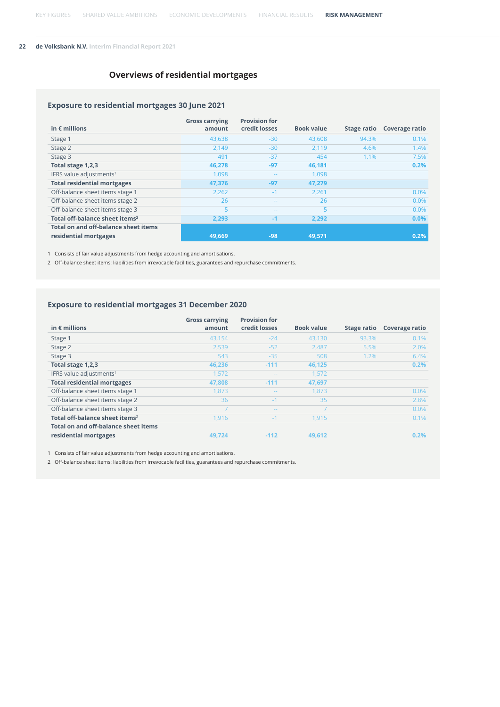### **Overviews of residential mortgages**

#### **Exposure to residential mortgages 30 June 2021**

| in $\epsilon$ millions                     | <b>Gross carrying</b><br>amount | <b>Provision for</b><br>credit losses | <b>Book value</b> | <b>Stage ratio</b> | Coverage ratio |
|--------------------------------------------|---------------------------------|---------------------------------------|-------------------|--------------------|----------------|
| Stage 1                                    | 43,638                          | $-30$                                 | 43,608            | 94.3%              | 0.1%           |
| Stage 2                                    | 2.149                           | $-30$                                 | 2.119             | 4.6%               | 1.4%           |
| Stage 3                                    | 491                             | $-37$                                 | 454               | 1.1%               | 7.5%           |
| Total stage 1,2,3                          | 46,278                          | $-97$                                 | 46.181            |                    | 0.2%           |
| IFRS value adjustments <sup>1</sup>        | 1,098                           | $\qquad \qquad \cdots$                | 1,098             |                    |                |
| <b>Total residential mortgages</b>         | 47,376                          | $-97$                                 | 47,279            |                    |                |
| Off-balance sheet items stage 1            | 2,262                           | $-1$                                  | 2,261             |                    | 0.0%           |
| Off-balance sheet items stage 2            | 26                              | $\sim$ $\sim$                         | 26                |                    | 0.0%           |
| Off-balance sheet items stage 3            | 5                               | $\sim$ $\sim$                         | 5                 |                    | 0.0%           |
| Total off-balance sheet items <sup>2</sup> | 2,293                           | $-1$                                  | 2,292             |                    | 0.0%           |
| Total on and off-balance sheet items       |                                 |                                       |                   |                    |                |
| residential mortgages                      | 49,669                          | $-98$                                 | 49.571            |                    | 0.2%           |

1 Consists of fair value adjustments from hedge accounting and amortisations.

2 Off-balance sheet items: liabilities from irrevocable facilities, guarantees and repurchase commitments.

#### **Exposure to residential mortgages 31 December 2020**

|                                            | <b>Gross carrying</b> | <b>Provision for</b> |                   |             |                |
|--------------------------------------------|-----------------------|----------------------|-------------------|-------------|----------------|
| in $\epsilon$ millions                     | amount                | credit losses        | <b>Book value</b> | Stage ratio | Coverage ratio |
| Stage 1                                    | 43,154                | $-24$                | 43,130            | 93.3%       | 0.1%           |
| Stage 2                                    | 2,539                 | $-52$                | 2,487             | 5.5%        | 2.0%           |
| Stage 3                                    | 543                   | $-35$                | 508               | 1.2%        | 6.4%           |
| Total stage 1,2,3                          | 46.236                | $-111$               | 46,125            |             | 0.2%           |
| IFRS value adjustments <sup>1</sup>        | 1,572                 | $ -$                 | 1,572             |             |                |
| <b>Total residential mortgages</b>         | 47,808                | $-111$               | 47,697            |             |                |
| Off-balance sheet items stage 1            | 1,873                 | $ -$                 | 1,873             |             | 0.0%           |
| Off-balance sheet items stage 2            | 36                    | $-1$                 | 35                |             | 2.8%           |
| Off-balance sheet items stage 3            |                       | $ -$                 | $\overline{7}$    |             | 0.0%           |
| Total off-balance sheet items <sup>2</sup> | 1.916                 | $-1$                 | 1.915             |             | 0.1%           |
| Total on and off-balance sheet items       |                       |                      |                   |             |                |
| residential mortgages                      | 49.724                | $-112$               | 49.612            |             | 0.2%           |

1 Consists of fair value adjustments from hedge accounting and amortisations.

2 Off-balance sheet items: liabilities from irrevocable facilities, guarantees and repurchase commitments.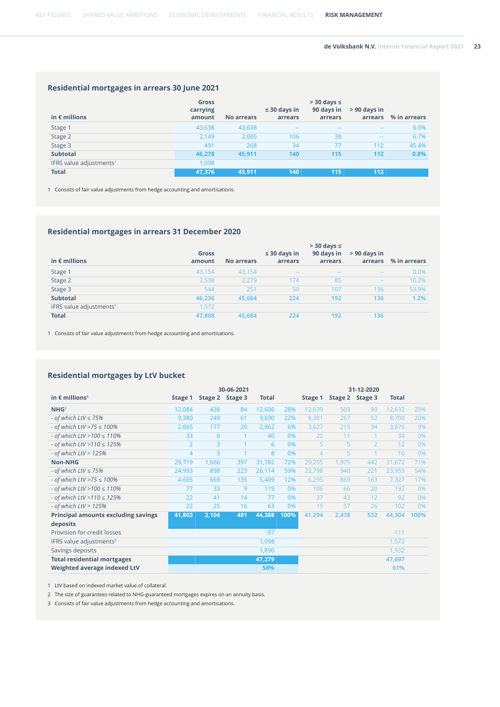#### **Residential mortgages in arrears 30 June 2021**

| in $\epsilon$ millions              | Gross<br>carrying<br>amount | <b>No arrears</b> | $\leq$ 30 days in<br>arrears | $>$ 30 days $\le$<br>90 days in<br>arrears | $> 90$ days in<br>arrears | % in arrears |
|-------------------------------------|-----------------------------|-------------------|------------------------------|--------------------------------------------|---------------------------|--------------|
| Stage 1                             | 43,638                      | 43,638            | $ -$                         | $-1$                                       | $ -$                      | 0.0%         |
| Stage 2                             | 2,149                       | 2,005             | 106                          | 38                                         | $- -$                     | 6.7%         |
| Stage 3                             | 491                         | 268               | 34                           | 77                                         | 112                       | 45.4%        |
| <b>Subtotal</b>                     | 46.278                      | 45.911            | 140                          | 115                                        | 112                       | 0.8%         |
| IFRS value adjustments <sup>1</sup> | 1,098                       |                   |                              |                                            |                           |              |
| <b>Total</b>                        | 47.376                      | 45,911            | 140                          | 115                                        | 112                       |              |

1 Consists of fair value adjustments from hedge accounting and amortisations.

#### **Residential mortgages in arrears 31 December 2020**

| in $\epsilon$ millions              | Gross<br>amount | <b>No arrears</b> | $\leq$ 30 days in<br>arrears | $>$ 30 days $\le$<br>90 days in<br>arrears | $> 90$ days in<br>arrears | % in arrears |
|-------------------------------------|-----------------|-------------------|------------------------------|--------------------------------------------|---------------------------|--------------|
| Stage 1                             | 43,154          | 43,154            | $\frac{1}{2}$                | $\frac{1}{2}$                              | $\sim$                    | 0.0%         |
| Stage 2                             | 2,538           | 2,279             | 174                          | 85                                         | $ -$                      | 10.2%        |
| Stage 3                             | 544             | 251               | 50                           | 107                                        | 136                       | 53.9%        |
| <b>Subtotal</b>                     | 46.236          | 45.684            | 224                          | 192                                        | 136                       | 1.2%         |
| IFRS value adjustments <sup>1</sup> | 1,572           |                   |                              |                                            |                           |              |
| <b>Total</b>                        | 47,808          | 45,684            | 224                          | 192                                        | 136                       |              |

1 Consists of fair value adjustments from hedge accounting and amortisations.

#### **Residential mortgages by LtV bucket**

|                                            |                |         | 30-06-2021     |              |      |                |         | 31-12-2020     |              |      |
|--------------------------------------------|----------------|---------|----------------|--------------|------|----------------|---------|----------------|--------------|------|
| in $\epsilon$ millions <sup>1</sup>        | Stage 1        | Stage 2 | Stage 3        | <b>Total</b> |      | Stage 1        | Stage 2 | Stage 3        | <b>Total</b> |      |
| NHG <sup>2</sup>                           | 12,084         | 438     | 84             | 12,606       | 28%  | 12,039         | 503     | 90             | 12,632       | 29%  |
| - of which $LtV \le 75%$                   | 9,380          | 249     | 61             | 9,690        | 22%  | 8,381          | 267     | 52             | 8,700        | 20%  |
| - of which LtV >75 $\leq$ 100%             | 2,665          | 177     | 20             | 2,862        | 6%   | 3,627          | 215     | 34             | 3,876        | 9%   |
| - of which LtV > 100 $\leq$ 110%           | 33             | 6       | $\mathbf{1}$   | 40           | 0%   | 22             | 11      |                | 34           | 0%   |
| - of which LtV > 110 $\leq$ 125%           | $\overline{2}$ | 3       | $\mathbf{1}$   | 6            | 0%   | 5              | 5       | $\overline{2}$ | 12           | 0%   |
| - of which $LtV > 125%$                    | 4              | 3       | $\overline{1}$ | 8            | 0%   | $\overline{4}$ | 5       |                | 10           | 0%   |
| <b>Non-NHG</b>                             | 29,719         | 1,666   | 397            | 31,782       | 72%  | 29,255         | 1,975   | 442            | 31,672       | 71%  |
| - of which $LtV \le 75%$                   | 24,993         | 898     | 223            | 26,114       | 59%  | 22,798         | 940     | 221            | 23,959       | 54%  |
| - of which LtV >75 $\leq$ 100%             | 4,605          | 669     | 135            | 5,409        | 12%  | 6,295          | 869     | 163            | 7,327        | 17%  |
| - of which LtV > 100 $\leq$ 110%           | 77             | 33      | 9              | 119          | 0%   | 106            | 66      | 20             | 192          | 0%   |
| - of which LtV > 110 $\leq$ 125%           | 22             | 41      | 14             | 77           | 0%   | 37             | 43      | 12             | 92           | 0%   |
| - of which $LtV$ > 125%                    | 22             | 25      | 16             | 63           | 0%   | 19             | 57      | 26             | 102          | 0%   |
| <b>Principal amounts excluding savings</b> | 41,803         | 2,104   | 481            | 44,388       | 100% | 41,294         | 2,478   | 532            | 44,304       | 100% |
| deposits                                   |                |         |                |              |      |                |         |                |              |      |
| Provision for credit losses                |                |         |                | $-97$        |      |                |         |                | $-111$       |      |
| IFRS value adjustments <sup>3</sup>        |                |         |                | 1,098        |      |                |         |                | 1,572        |      |
| Savings deposits                           |                |         |                | 1,890        |      |                |         |                | 1,932        |      |
| <b>Total residential mortgages</b>         |                |         |                | 47,279       |      |                |         |                | 47,697       |      |
| Weighted average indexed LtV               |                |         |                | 58%          |      |                |         |                | 61%          |      |

1 LtV based on indexed market value of collateral.

2 The size of guarantees related to NHG-guaranteed mortgages expires on an annuity basis.

3 Consists of fair value adjustments from hedge accounting and amortisations.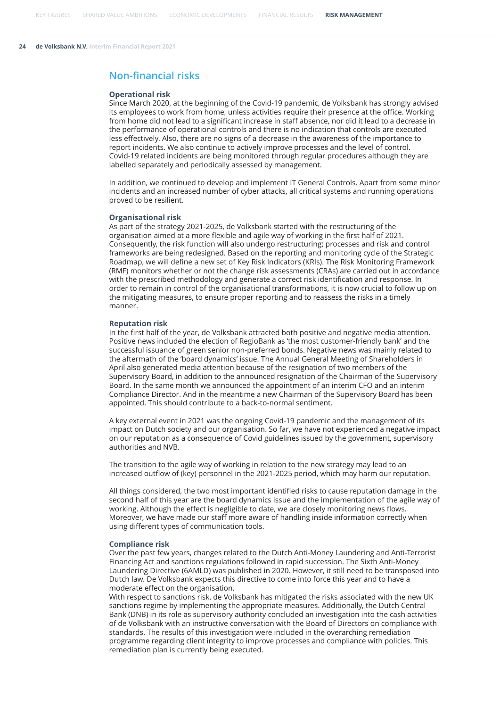### **Non-financial risks**

#### **Operational risk**

Since March 2020, at the beginning of the Covid-19 pandemic, de Volksbank has strongly advised its employees to work from home, unless activities require their presence at the office. Working from home did not lead to a significant increase in staff absence, nor did it lead to a decrease in the performance of operational controls and there is no indication that controls are executed less effectively. Also, there are no signs of a decrease in the awareness of the importance to report incidents. We also continue to actively improve processes and the level of control. Covid-19 related incidents are being monitored through regular procedures although they are labelled separately and periodically assessed by management.

In addition, we continued to develop and implement IT General Controls. Apart from some minor incidents and an increased number of cyber attacks, all critical systems and running operations proved to be resilient.

#### **Organisational risk**

As part of the strategy 2021-2025, de Volksbank started with the restructuring of the organisation aimed at a more flexible and agile way of working in the first half of 2021. Consequently, the risk function will also undergo restructuring; processes and risk and control frameworks are being redesigned. Based on the reporting and monitoring cycle of the Strategic Roadmap, we will define a new set of Key Risk Indicators (KRIs). The Risk Monitoring Framework (RMF) monitors whether or not the change risk assessments (CRAs) are carried out in accordance with the prescribed methodology and generate a correct risk identification and response. In order to remain in control of the organisational transformations, it is now crucial to follow up on the mitigating measures, to ensure proper reporting and to reassess the risks in a timely manner.

#### **Reputation risk**

In the first half of the year, de Volksbank attracted both positive and negative media attention. Positive news included the election of RegioBank as 'the most customer-friendly bank' and the successful issuance of green senior non-preferred bonds. Negative news was mainly related to the aftermath of the 'board dynamics' issue. The Annual General Meeting of Shareholders in April also generated media attention because of the resignation of two members of the Supervisory Board, in addition to the announced resignation of the Chairman of the Supervisory Board. In the same month we announced the appointment of an interim CFO and an interim Compliance Director. And in the meantime a new Chairman of the Supervisory Board has been appointed. This should contribute to a back-to-normal sentiment.

A key external event in 2021 was the ongoing Covid-19 pandemic and the management of its impact on Dutch society and our organisation. So far, we have not experienced a negative impact on our reputation as a consequence of Covid guidelines issued by the government, supervisory authorities and NVB.

The transition to the agile way of working in relation to the new strategy may lead to an increased outflow of (key) personnel in the 2021-2025 period, which may harm our reputation.

All things considered, the two most important identified risks to cause reputation damage in the second half of this year are the board dynamics issue and the implementation of the agile way of working. Although the effect is negligible to date, we are closely monitoring news flows. Moreover, we have made our staff more aware of handling inside information correctly when using different types of communication tools.

#### **Compliance risk**

Over the past few years, changes related to the Dutch Anti-Money Laundering and Anti-Terrorist Financing Act and sanctions regulations followed in rapid succession. The Sixth Anti-Money Laundering Directive (6AMLD) was published in 2020. However, it still need to be transposed into Dutch law. De Volksbank expects this directive to come into force this year and to have a moderate effect on the organisation.

With respect to sanctions risk, de Volksbank has mitigated the risks associated with the new UK sanctions regime by implementing the appropriate measures. Additionally, the Dutch Central Bank (DNB) in its role as supervisory authority concluded an investigation into the cash activities of de Volksbank with an instructive conversation with the Board of Directors on compliance with standards. The results of this investigation were included in the overarching remediation programme regarding client integrity to improve processes and compliance with policies. This remediation plan is currently being executed.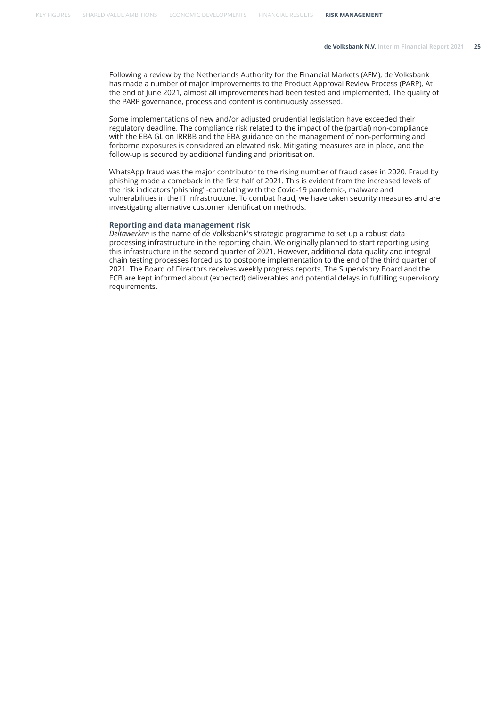Following a review by the Netherlands Authority for the Financial Markets (AFM), de Volksbank has made a number of major improvements to the Product Approval Review Process (PARP). At the end of June 2021, almost all improvements had been tested and implemented. The quality of the PARP governance, process and content is continuously assessed.

Some implementations of new and/or adjusted prudential legislation have exceeded their regulatory deadline. The compliance risk related to the impact of the (partial) non-compliance with the EBA GL on IRRBB and the EBA guidance on the management of non-performing and forborne exposures is considered an elevated risk. Mitigating measures are in place, and the follow-up is secured by additional funding and prioritisation.

WhatsApp fraud was the major contributor to the rising number of fraud cases in 2020. Fraud by phishing made a comeback in the first half of 2021. This is evident from the increased levels of the risk indicators 'phishing' -correlating with the Covid-19 pandemic-, malware and vulnerabilities in the IT infrastructure. To combat fraud, we have taken security measures and are investigating alternative customer identification methods.

#### **Reporting and data management risk**

*Deltawerken* is the name of de Volksbank's strategic programme to set up a robust data processing infrastructure in the reporting chain. We originally planned to start reporting using this infrastructure in the second quarter of 2021. However, additional data quality and integral chain testing processes forced us to postpone implementation to the end of the third quarter of 2021. The Board of Directors receives weekly progress reports. The Supervisory Board and the ECB are kept informed about (expected) deliverables and potential delays in fulfilling supervisory requirements.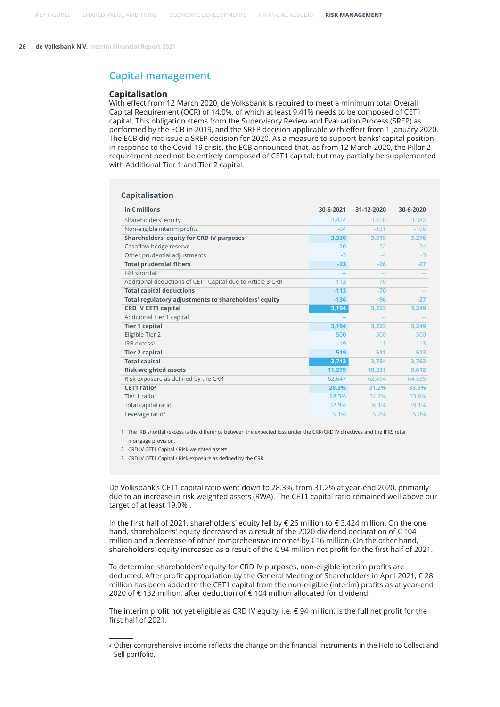#### <span id="page-25-0"></span>**Capital management**

#### **Capitalisation**

With effect from 12 March 2020, de Volksbank is required to meet a minimum total Overall Capital Requirement (OCR) of 14.0%, of which at least 9.41% needs to be composed of CET1 capital. This obligation stems from the Supervisory Review and Evaluation Process (SREP) as performed by the ECB in 2019, and the SREP decision applicable with effect from 1 January 2020. The ECB did not issue a SREP decision for 2020. As a measure to support banks' capital position in response to the Covid-19 crisis, the ECB announced that, as from 12 March 2020, the Pillar 2 requirement need not be entirely composed of CET1 capital, but may partially be supplemented with Additional Tier 1 and Tier 2 capital.

#### **Capitalisation**

| in $\epsilon$ millions                                     | 30-6-2021 | 31-12-2020 | 30-6-2020 |
|------------------------------------------------------------|-----------|------------|-----------|
| Shareholders' equity                                       | 3,424     | 3,450      | 3,382     |
| Non-eligible interim profits                               | $-94$     | $-131$     | $-106$    |
| <b>Shareholders' equity for CRD IV purposes</b>            | 3,330     | 3,319      | 3,276     |
| Cashflow hedge reserve                                     | $-20$     | $-22$      | $-24$     |
| Other prudential adjustments                               | $-3$      | $-\Delta$  | $-3$      |
| <b>Total prudential filters</b>                            | $-23$     | $-26$      | $-27$     |
| IRB shortfall <sup>1</sup>                                 |           |            |           |
| Additional deductions of CET1 Capital due to Article 3 CRR | $-113$    | $-70$      |           |
| <b>Total capital deductions</b>                            | $-113$    | $-70$      |           |
| Total regulatory adjustments to shareholders' equity       | $-136$    | $-96$      | $-27$     |
| <b>CRD IV CET1 capital</b>                                 | 3,194     | 3,223      | 3,249     |
| Additional Tier 1 capital                                  |           |            |           |
| <b>Tier 1 capital</b>                                      | 3,194     | 3,223      | 3,249     |
| Eligible Tier 2                                            | 500       | 500        | 500       |
| $IRB$ excess <sup>1</sup>                                  | 19        | 11         | 13        |
| <b>Tier 2 capital</b>                                      | 519       | 511        | 513       |
| <b>Total capital</b>                                       | 3,713     | 3.734      | 3,762     |
| <b>Risk-weighted assets</b>                                | 11,279    | 10,331     | 9,612     |
| Risk exposure as defined by the CRR                        | 62,647    | 62,494     | 64,535    |
| CET1 ratio <sup>2</sup>                                    | 28.3%     | 31.2%      | 33.8%     |
| Tier 1 ratio                                               | 28.3%     | 31.2%      | 33.8%     |
| Total capital ratio                                        | 32.9%     | 36.1%      | 39.1%     |
| Leverage ratio <sup>3</sup>                                | 5.1%      | 5.2%       | 5.0%      |

1 The IRB shortfall/excess is the difference between the expected loss under the CRR/CRD IV directives and the IFRS retail mortgage provision.

2 CRD IV CET1 Capital / Risk-weighted assets.

3 CRD IV CET1 Capital / Risk exposure as defined by the CRR.

De Volksbank's CET1 capital ratio went down to 28.3%, from 31.2% at year-end 2020, primarily due to an increase in risk weighted assets (RWA). The CET1 capital ratio remained well above our target of at least 19.0% .

In the first half of 2021, shareholders' equity fell by € 26 million to € 3,424 million. On the one hand, shareholders' equity decreased as a result of the 2020 dividend declaration of € 104 million and a decrease of other comprehensive income<sup>4</sup> by €16 million. On the other hand, shareholders' equity increased as a result of the € 94 million net profit for the first half of 2021.

To determine shareholders' equity for CRD IV purposes, non-eligible interim profits are deducted. After profit appropriation by the General Meeting of Shareholders in April 2021, € 28 million has been added to the CET1 capital from the non-eligible (interim) profits as at year-end 2020 of € 132 million, after deduction of € 104 million allocated for dividend.

The interim profit not yet eligible as CRD IV equity, i.e. € 94 million, is the full net profit for the first half of 2021.

<sup>4</sup> Other comprehensive income reflects the change on the financial instruments in the Hold to Collect and Sell portfolio.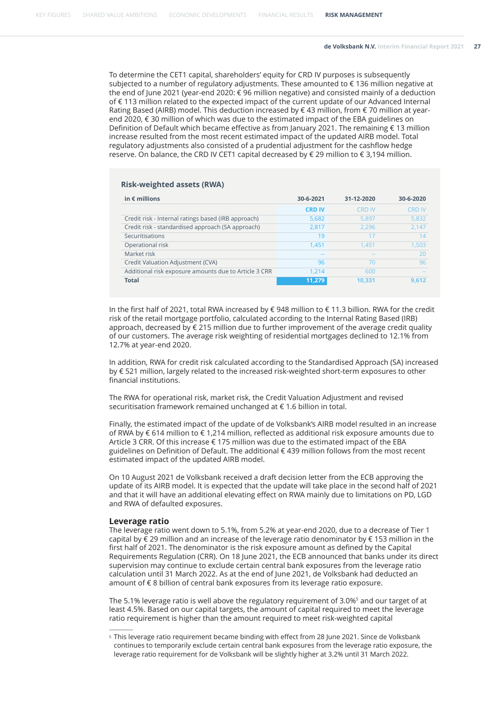To determine the CET1 capital, shareholders' equity for CRD IV purposes is subsequently subjected to a number of regulatory adjustments. These amounted to € 136 million negative at the end of June 2021 (year-end 2020: € 96 million negative) and consisted mainly of a deduction of € 113 million related to the expected impact of the current update of our Advanced Internal Rating Based (AIRB) model. This deduction increased by  $\epsilon$  43 million, from  $\epsilon$  70 million at yearend 2020, € 30 million of which was due to the estimated impact of the EBA guidelines on Definition of Default which became effective as from January 2021. The remaining € 13 million increase resulted from the most recent estimated impact of the updated AIRB model. Total regulatory adjustments also consisted of a prudential adjustment for the cashflow hedge reserve. On balance, the CRD IV CET1 capital decreased by € 29 million to € 3,194 million.

#### **Risk-weighted assets (RWA)**

| in $\epsilon$ millions                                | 30-6-2021     | 31-12-2020    | 30-6-2020     |
|-------------------------------------------------------|---------------|---------------|---------------|
|                                                       | <b>CRD IV</b> | <b>CRD IV</b> | <b>CRD IV</b> |
| Credit risk - Internal ratings based (IRB approach)   | 5,682         | 5.897         | 5,832         |
| Credit risk - standardised approach (SA approach)     | 2,817         | 2.296         | 2,147         |
| Securitisations                                       | 19            | 17            | 14            |
| Operational risk                                      | 1.451         | 1.451         | 1,503         |
| Market risk                                           | $-$           |               | 20            |
| Credit Valuation Adjustment (CVA)                     | 96            | 70            | 96            |
| Additional risk exposure amounts due to Article 3 CRR | 1.214         | 600           | $\frac{1}{2}$ |
| <b>Total</b>                                          | 11,279        | 10.331        | 9.612         |

In the first half of 2021, total RWA increased by € 948 million to € 11.3 billion. RWA for the credit risk of the retail mortgage portfolio, calculated according to the Internal Rating Based (IRB) approach, decreased by  $\epsilon$  215 million due to further improvement of the average credit quality of our customers. The average risk weighting of residential mortgages declined to 12.1% from 12.7% at year-end 2020.

In addition, RWA for credit risk calculated according to the Standardised Approach (SA) increased by € 521 million, largely related to the increased risk-weighted short-term exposures to other financial institutions.

The RWA for operational risk, market risk, the Credit Valuation Adjustment and revised securitisation framework remained unchanged at € 1.6 billion in total.

Finally, the estimated impact of the update of de Volksbank's AIRB model resulted in an increase of RWA by € 614 million to € 1,214 million, reflected as additional risk exposure amounts due to Article 3 CRR. Of this increase € 175 million was due to the estimated impact of the EBA guidelines on Definition of Default. The additional € 439 million follows from the most recent estimated impact of the updated AIRB model.

On 10 August 2021 de Volksbank received a draft decision letter from the ECB approving the update of its AIRB model. It is expected that the update will take place in the second half of 2021 and that it will have an additional elevating effect on RWA mainly due to limitations on PD, LGD and RWA of defaulted exposures.

#### **Leverage ratio**

The leverage ratio went down to 5.1%, from 5.2% at year-end 2020, due to a decrease of Tier 1 capital by € 29 million and an increase of the leverage ratio denominator by € 153 million in the first half of 2021. The denominator is the risk exposure amount as defined by the Capital Requirements Regulation (CRR). On 18 June 2021, the ECB announced that banks under its direct supervision may continue to exclude certain central bank exposures from the leverage ratio calculation until 31 March 2022. As at the end of June 2021, de Volksbank had deducted an amount of € 8 billion of central bank exposures from its leverage ratio exposure.

The 5.1% leverage ratio is well above the regulatory requirement of 3.0% $^{\rm 5}$  and our target of at least 4.5%. Based on our capital targets, the amount of capital required to meet the leverage ratio requirement is higher than the amount required to meet risk-weighted capital

<sup>5</sup> This leverage ratio requirement became binding with effect from 28 June 2021. Since de Volksbank continues to temporarily exclude certain central bank exposures from the leverage ratio exposure, the leverage ratio requirement for de Volksbank will be slightly higher at 3.2% until 31 March 2022.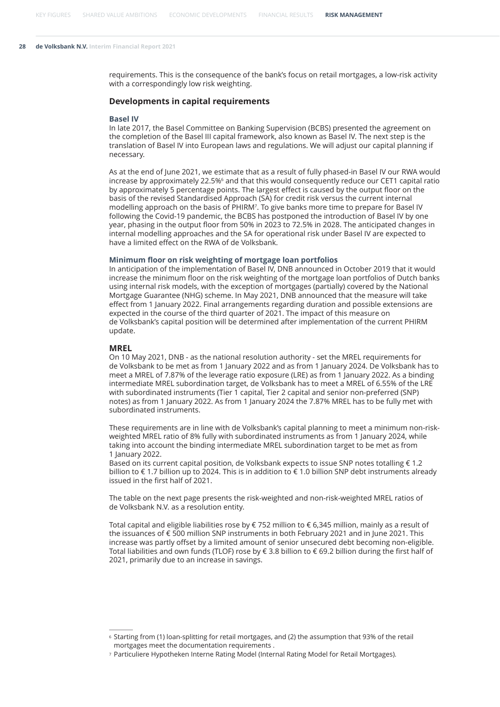requirements. This is the consequence of the bank's focus on retail mortgages, a low-risk activity with a correspondingly low risk weighting.

#### **Developments in capital requirements**

#### **Basel IV**

In late 2017, the Basel Committee on Banking Supervision (BCBS) presented the agreement on the completion of the Basel III capital framework, also known as Basel IV. The next step is the translation of Basel IV into European laws and regulations. We will adjust our capital planning if necessary.

As at the end of June 2021, we estimate that as a result of fully phased-in Basel IV our RWA would increase by approximately 22.5%<sup>6</sup> and that this would consequently reduce our CET1 capital ratio by approximately 5 percentage points. The largest effect is caused by the output floor on the basis of the revised Standardised Approach (SA) for credit risk versus the current internal modelling approach on the basis of PHIRM<sup>7</sup> . To give banks more time to prepare for Basel IV following the Covid-19 pandemic, the BCBS has postponed the introduction of Basel IV by one year, phasing in the output floor from 50% in 2023 to 72.5% in 2028. The anticipated changes in internal modelling approaches and the SA for operational risk under Basel IV are expected to have a limited effect on the RWA of de Volksbank.

#### **Minimum floor on risk weighting of mortgage loan portfolios**

In anticipation of the implementation of Basel IV, DNB announced in October 2019 that it would increase the minimum floor on the risk weighting of the mortgage loan portfolios of Dutch banks using internal risk models, with the exception of mortgages (partially) covered by the National Mortgage Guarantee (NHG) scheme. In May 2021, DNB announced that the measure will take effect from 1 January 2022. Final arrangements regarding duration and possible extensions are expected in the course of the third quarter of 2021. The impact of this measure on de Volksbank's capital position will be determined after implementation of the current PHIRM update.

#### **MREL**

On 10 May 2021, DNB - as the national resolution authority - set the MREL requirements for de Volksbank to be met as from 1 January 2022 and as from 1 January 2024. De Volksbank has to meet a MREL of 7.87% of the leverage ratio exposure (LRE) as from 1 January 2022. As a binding intermediate MREL subordination target, de Volksbank has to meet a MREL of 6.55% of the LRE with subordinated instruments (Tier 1 capital, Tier 2 capital and senior non-preferred (SNP) notes) as from 1 January 2022. As from 1 January 2024 the 7.87% MREL has to be fully met with subordinated instruments.

These requirements are in line with de Volksbank's capital planning to meet a minimum non-riskweighted MREL ratio of 8% fully with subordinated instruments as from 1 January 2024, while taking into account the binding intermediate MREL subordination target to be met as from 1 January 2022.

Based on its current capital position, de Volksbank expects to issue SNP notes totalling € 1.2 billion to € 1.7 billion up to 2024. This is in addition to € 1.0 billion SNP debt instruments already issued in the first half of 2021.

The table on the next page presents the risk-weighted and non-risk-weighted MREL ratios of de Volksbank N.V. as a resolution entity.

Total capital and eligible liabilities rose by € 752 million to € 6,345 million, mainly as a result of the issuances of € 500 million SNP instruments in both February 2021 and in June 2021. This increase was partly offset by a limited amount of senior unsecured debt becoming non-eligible. Total liabilities and own funds (TLOF) rose by € 3.8 billion to € 69.2 billion during the first half of 2021, primarily due to an increase in savings.

<sup>6</sup> Starting from (1) loan-splitting for retail mortgages, and (2) the assumption that 93% of the retail mortgages meet the documentation requirements .

<sup>7</sup> Particuliere Hypotheken Interne Rating Model (Internal Rating Model for Retail Mortgages).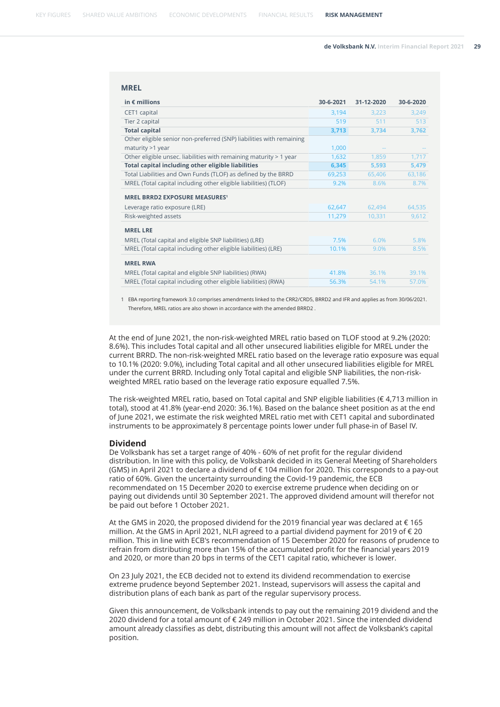#### **MREL**

| in $\epsilon$ millions                                               | 30-6-2021 | 31-12-2020 | 30-6-2020 |
|----------------------------------------------------------------------|-----------|------------|-----------|
| CET1 capital                                                         | 3,194     | 3,223      | 3,249     |
| Tier 2 capital                                                       | 519       | 511        | 513       |
| <b>Total capital</b>                                                 | 3,713     | 3,734      | 3,762     |
| Other eligible senior non-preferred (SNP) liabilities with remaining |           |            |           |
| maturity >1 year                                                     | 1,000     |            |           |
| Other eligible unsec. liabilities with remaining maturity > 1 year   | 1,632     | 1,859      | 1,717     |
| Total capital including other eligible liabilities                   | 6,345     | 5,593      | 5,479     |
| Total Liabilities and Own Funds (TLOF) as defined by the BRRD        | 69,253    | 65,406     | 63,186    |
| MREL (Total capital including other eligible liabilities) (TLOF)     | 9.2%      | 8.6%       | 8.7%      |
| <b>MREL BRRD2 EXPOSURE MEASURES1</b>                                 |           |            |           |
| Leverage ratio exposure (LRE)                                        | 62,647    | 62,494     | 64,535    |
| Risk-weighted assets                                                 | 11,279    | 10,331     | 9,612     |
| <b>MREL LRE</b>                                                      |           |            |           |
| MREL (Total capital and eligible SNP liabilities) (LRE)              | 7.5%      | 6.0%       | 5.8%      |
| MREL (Total capital including other eligible liabilities) (LRE)      | 10.1%     | 9.0%       | 8.5%      |
| <b>MREL RWA</b>                                                      |           |            |           |
| MREL (Total capital and eligible SNP liabilities) (RWA)              | 41.8%     | 36.1%      | 39.1%     |
| MREL (Total capital including other eligible liabilities) (RWA)      | 56.3%     | 54.1%      | 57.0%     |

1 EBA reporting framework 3.0 comprises amendments linked to the CRR2/CRD5, BRRD2 and IFR and applies as from 30/06/2021. Therefore, MREL ratios are also shown in accordance with the amended BRRD2 .

At the end of June 2021, the non-risk-weighted MREL ratio based on TLOF stood at 9.2% (2020: 8.6%). This includes Total capital and all other unsecured liabilities eligible for MREL under the current BRRD. The non-risk-weighted MREL ratio based on the leverage ratio exposure was equal to 10.1% (2020: 9.0%), including Total capital and all other unsecured liabilities eligible for MREL under the current BRRD. Including only Total capital and eligible SNP liabilities, the non-riskweighted MREL ratio based on the leverage ratio exposure equalled 7.5%.

The risk-weighted MREL ratio, based on Total capital and SNP eligible liabilities (€ 4,713 million in total), stood at 41.8% (year-end 2020: 36.1%). Based on the balance sheet position as at the end of June 2021, we estimate the risk weighted MREL ratio met with CET1 capital and subordinated instruments to be approximately 8 percentage points lower under full phase-in of Basel IV.

#### **Dividend**

De Volksbank has set a target range of 40% - 60% of net profit for the regular dividend distribution. In line with this policy, de Volksbank decided in its General Meeting of Shareholders (GMS) in April 2021 to declare a dividend of € 104 million for 2020. This corresponds to a pay-out ratio of 60%. Given the uncertainty surrounding the Covid-19 pandemic, the ECB recommendated on 15 December 2020 to exercise extreme prudence when deciding on or paying out dividends until 30 September 2021. The approved dividend amount will therefor not be paid out before 1 October 2021.

At the GMS in 2020, the proposed dividend for the 2019 financial year was declared at  $\epsilon$  165 million. At the GMS in April 2021, NLFI agreed to a partial dividend payment for 2019 of € 20 million. This in line with ECB's recommendation of 15 December 2020 for reasons of prudence to refrain from distributing more than 15% of the accumulated profit for the financial years 2019 and 2020, or more than 20 bps in terms of the CET1 capital ratio, whichever is lower.

On 23 July 2021, the ECB decided not to extend its dividend recommendation to exercise extreme prudence beyond September 2021. Instead, supervisors will assess the capital and distribution plans of each bank as part of the regular supervisory process.

Given this announcement, de Volksbank intends to pay out the remaining 2019 dividend and the 2020 dividend for a total amount of € 249 million in October 2021. Since the intended dividend amount already classifies as debt, distributing this amount will not affect de Volksbank's capital position.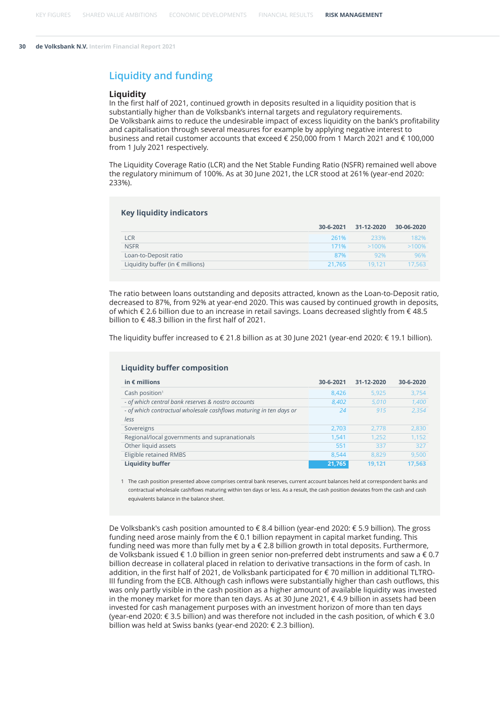### **Liquidity and funding**

#### **Liquidity**

In the first half of 2021, continued growth in deposits resulted in a liquidity position that is substantially higher than de Volksbank's internal targets and regulatory requirements. De Volksbank aims to reduce the undesirable impact of excess liquidity on the bank's profitability and capitalisation through several measures for example by applying negative interest to business and retail customer accounts that exceed € 250,000 from 1 March 2021 and € 100,000 from 1 July 2021 respectively.

The Liquidity Coverage Ratio (LCR) and the Net Stable Funding Ratio (NSFR) remained well above the regulatory minimum of 100%. As at 30 June 2021, the LCR stood at 261% (year-end 2020: 233%).

| <b>Key liquidity indicators</b>           |           |            |            |  |  |  |  |  |
|-------------------------------------------|-----------|------------|------------|--|--|--|--|--|
|                                           | 30-6-2021 | 31-12-2020 | 30-06-2020 |  |  |  |  |  |
| LCR                                       | 261%      | 233%       | 182%       |  |  |  |  |  |
| <b>NSFR</b>                               | 171%      | $>100\%$   | $>100\%$   |  |  |  |  |  |
| Loan-to-Deposit ratio                     | 87%       | 92%        | 96%        |  |  |  |  |  |
| Liquidity buffer (in $\epsilon$ millions) | 21.765    | 19.121     | 17.563     |  |  |  |  |  |

The ratio between loans outstanding and deposits attracted, known as the Loan-to-Deposit ratio, decreased to 87%, from 92% at year-end 2020. This was caused by continued growth in deposits, of which € 2.6 billion due to an increase in retail savings. Loans decreased slightly from € 48.5 billion to  $\epsilon$  48.3 billion in the first half of 2021.

The liquidity buffer increased to € 21.8 billion as at 30 June 2021 (year-end 2020: € 19.1 billion).

| in $\epsilon$ millions                                                     | 30-6-2021 | 31-12-2020 | 30-6-2020 |
|----------------------------------------------------------------------------|-----------|------------|-----------|
| Cash position <sup>1</sup>                                                 | 8.426     | 5.925      | 3.754     |
| - of which central bank reserves & nostro accounts                         | 8,402     | 5.010      | 1,400     |
| - of which contractual wholesale cashflows maturing in ten days or<br>less | 24        | 915        | 2,354     |
| Sovereigns                                                                 | 2,703     | 2.778      | 2,830     |
| Regional/local governments and supranationals                              | 1.541     | 1.252      | 1.152     |
| Other liquid assets                                                        | 551       | 337        | 327       |
| Eligible retained RMBS                                                     | 8.544     | 8.829      | 9.500     |
| <b>Liquidity buffer</b>                                                    | 21,765    | 19.121     | 17.563    |

#### **Liquidity buffer composition**

1 The cash position presented above comprises central bank reserves, current account balances held at correspondent banks and contractual wholesale cashflows maturing within ten days or less. As a result, the cash position deviates from the cash and cash equivalents balance in the balance sheet.

De Volksbank's cash position amounted to € 8.4 billion (year-end 2020: € 5.9 billion). The gross funding need arose mainly from the € 0.1 billion repayment in capital market funding. This funding need was more than fully met by a  $\epsilon$  2.8 billion growth in total deposits. Furthermore, de Volksbank issued € 1.0 billion in green senior non-preferred debt instruments and saw a € 0.7 billion decrease in collateral placed in relation to derivative transactions in the form of cash. In addition, in the first half of 2021, de Volksbank participated for € 70 million in additional TLTRO-III funding from the ECB. Although cash inflows were substantially higher than cash outflows, this was only partly visible in the cash position as a higher amount of available liquidity was invested in the money market for more than ten days. As at 30 June 2021, € 4.9 billion in assets had been invested for cash management purposes with an investment horizon of more than ten days (year-end 2020: € 3.5 billion) and was therefore not included in the cash position, of which € 3.0 billion was held at Swiss banks (year-end 2020: € 2.3 billion).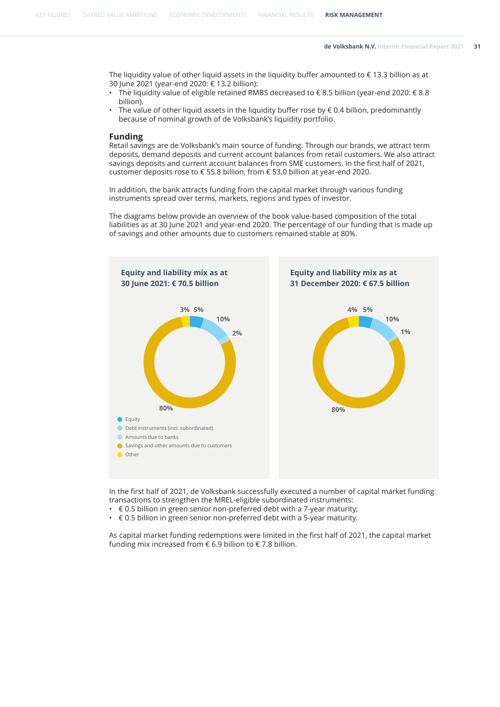The liquidity value of other liquid assets in the liquidity buffer amounted to € 13.3 billion as at 30 June 2021 (year-end 2020: € 13.2 billion):

- The liquidity value of eligible retained RMBS decreased to € 8.5 billion (year-end 2020: € 8.8 billion).
- The value of other liquid assets in the liquidity buffer rose by  $\epsilon$  0.4 billion, predominantly because of nominal growth of de Volksbank's liquidity portfolio.

#### **Funding**

Retail savings are de Volksbank's main source of funding. Through our brands, we attract term deposits, demand deposits and current account balances from retail customers. We also attract savings deposits and current account balances from SME customers. In the first half of 2021, customer deposits rose to € 55.8 billion, from € 53.0 billion at year-end 2020.

In addition, the bank attracts funding from the capital market through various funding instruments spread over terms, markets, regions and types of investor.

The diagrams below provide an overview of the book value-based composition of the total liabilities as at 30 June 2021 and year-end 2020. The percentage of our funding that is made up of savings and other amounts due to customers remained stable at 80%.



In the first half of 2021, de Volksbank successfully executed a number of capital market funding transactions to strengthen the MREL-eligible subordinated instruments:

- $\cdot \in 0.5$  billion in green senior non-preferred debt with a 7-year maturity;
- $\cdot \in 0.5$  billion in green senior non-preferred debt with a 5-year maturity.

As capital market funding redemptions were limited in the first half of 2021, the capital market funding mix increased from  $\epsilon$  6.9 billion to  $\epsilon$  7.8 billion.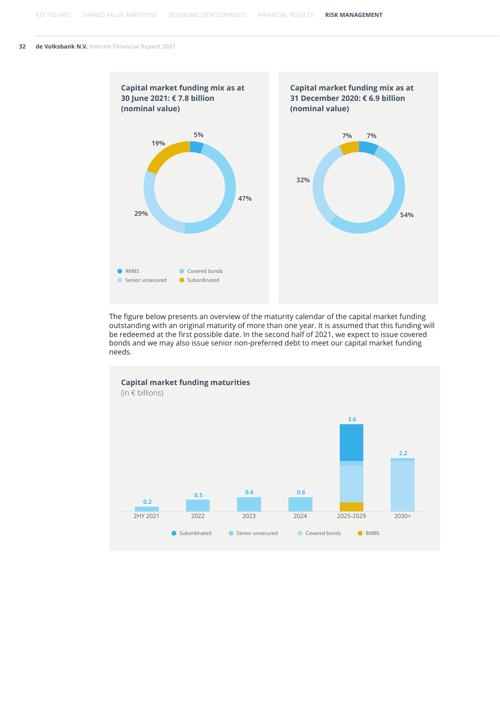

The figure below presents an overview of the maturity calendar of the capital market funding outstanding with an original maturity of more than one year. It is assumed that this funding will be redeemed at the first possible date. In the second half of 2021, we expect to issue covered bonds and we may also issue senior non-preferred debt to meet our capital market funding needs.

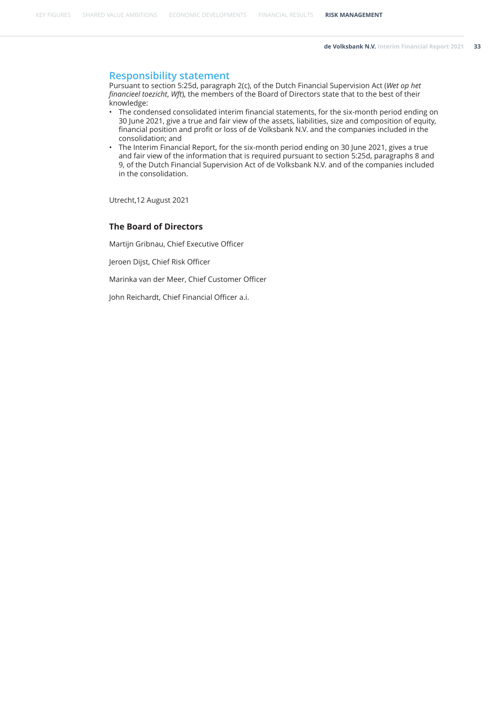#### **Responsibility statement**

Pursuant to section 5:25d, paragraph 2(c), of the Dutch Financial Supervision Act (*Wet op het financieel toezicht*, *Wft*), the members of the Board of Directors state that to the best of their knowledge:

- The condensed consolidated interim financial statements, for the six-month period ending on 30 June 2021, give a true and fair view of the assets, liabilities, size and composition of equity, financial position and profit or loss of de Volksbank N.V. and the companies included in the consolidation; and
- The Interim Financial Report, for the six-month period ending on 30 June 2021, gives a true and fair view of the information that is required pursuant to section 5:25d, paragraphs 8 and 9, of the Dutch Financial Supervision Act of de Volksbank N.V. and of the companies included in the consolidation.

Utrecht,12 August 2021

#### **The Board of Directors**

Martijn Gribnau, Chief Executive Officer

Jeroen Dijst, Chief Risk Officer

Marinka van der Meer, Chief Customer Officer

John Reichardt, Chief Financial Officer a.i.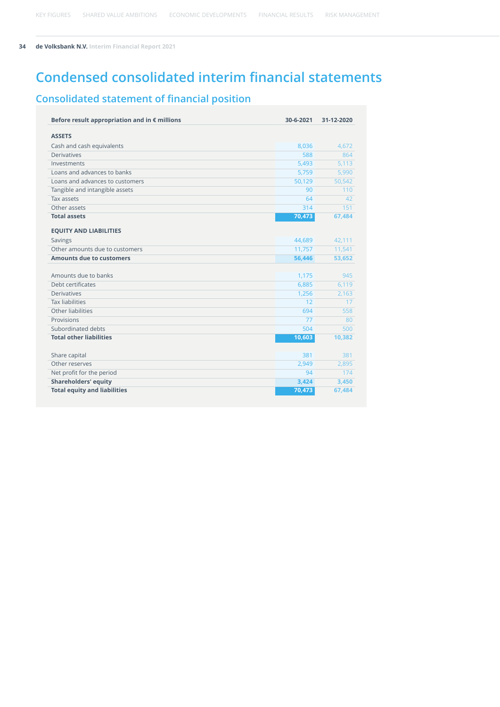## **Condensed consolidated interim financial statements**

## **Consolidated statement of financial position**

| Before result appropriation and in $\epsilon$ millions | 30-6-2021 | 31-12-2020 |
|--------------------------------------------------------|-----------|------------|
| <b>ASSETS</b>                                          |           |            |
| Cash and cash equivalents                              | 8,036     | 4,672      |
| <b>Derivatives</b>                                     | 588       | 864        |
| Investments                                            | 5,493     | 5,113      |
| Loans and advances to banks                            | 5,759     | 5,990      |
| Loans and advances to customers                        | 50,129    | 50,542     |
| Tangible and intangible assets                         | 90        | 110        |
| Tax assets                                             | 64        | 42         |
| Other assets                                           | 314       | 151        |
| <b>Total assets</b>                                    | 70,473    | 67,484     |
|                                                        |           |            |
| <b>EQUITY AND LIABILITIES</b>                          |           |            |
| Savings                                                | 44,689    | 42,111     |
| Other amounts due to customers                         | 11,757    | 11,541     |
| <b>Amounts due to customers</b>                        | 56,446    | 53,652     |
|                                                        |           |            |
| Amounts due to banks                                   | 1,175     | 945        |
| Debt certificates                                      | 6,885     | 6,119      |
| <b>Derivatives</b>                                     | 1,256     | 2,163      |
| <b>Tax liabilities</b>                                 | 12        | 17         |
| Other liabilities                                      | 694       | 558        |
| Provisions                                             | 77        | 80         |
| Subordinated debts                                     | 504       | 500        |
| <b>Total other liabilities</b>                         | 10,603    | 10,382     |
|                                                        |           |            |
| Share capital                                          | 381       | 381        |
| Other reserves                                         | 2,949     | 2,895      |
| Net profit for the period                              | 94        | 174        |
| <b>Shareholders' equity</b>                            | 3,424     | 3,450      |
| <b>Total equity and liabilities</b>                    | 70,473    | 67,484     |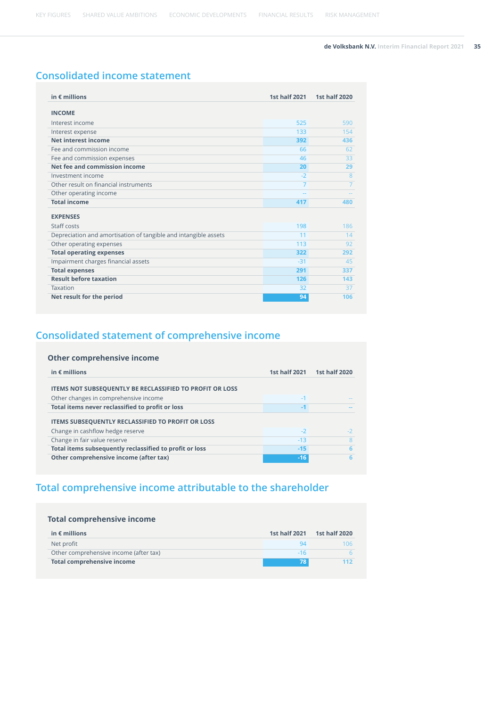## **Consolidated income statement**

| in $\epsilon$ millions                                          | <b>1st half 2021</b> | <b>1st half 2020</b> |
|-----------------------------------------------------------------|----------------------|----------------------|
| <b>INCOME</b>                                                   |                      |                      |
| Interest income                                                 | 525                  | 590                  |
| Interest expense                                                | 133                  | 154                  |
| Net interest income                                             | 392                  | 436                  |
| Fee and commission income                                       | 66                   | 62                   |
| Fee and commission expenses                                     | 46                   | 33                   |
| Net fee and commission income                                   | 20                   | 29                   |
| Investment income                                               | $-2$                 | 8                    |
| Other result on financial instruments                           | 7                    | $\overline{7}$       |
| Other operating income                                          |                      |                      |
| <b>Total income</b>                                             | 417                  | 480                  |
| <b>EXPENSES</b>                                                 |                      |                      |
| Staff costs                                                     | 198                  | 186                  |
| Depreciation and amortisation of tangible and intangible assets | 11                   | 14                   |
| Other operating expenses                                        | 113                  | 92                   |
| <b>Total operating expenses</b>                                 | 322                  | 292                  |
| Impairment charges financial assets                             | $-31$                | 45                   |
| <b>Total expenses</b>                                           | 291                  | 337                  |
| <b>Result before taxation</b>                                   | 126                  | 143                  |
| Taxation                                                        | 32                   | 37                   |
| Net result for the period                                       | 94                   | 106                  |

## **Consolidated statement of comprehensive income**

#### **Other comprehensive income**

| in $\epsilon$ millions                                          | <b>1st half 2021</b> | <b>1st half 2020</b> |
|-----------------------------------------------------------------|----------------------|----------------------|
| <b>ITEMS NOT SUBSEQUENTLY BE RECLASSIFIED TO PROFIT OR LOSS</b> |                      |                      |
| Other changes in comprehensive income                           | $-1$                 |                      |
| Total items never reclassified to profit or loss                | $-1$                 |                      |
| <b>ITEMS SUBSEQUENTLY RECLASSIFIED TO PROFIT OR LOSS</b>        |                      |                      |
| Change in cashflow hedge reserve                                | $-2$                 |                      |
| Change in fair value reserve                                    | $-13$                | 8                    |
| Total items subsequently reclassified to profit or loss         | $-15$                | 6                    |
| Other comprehensive income (after tax)                          | $-16$                |                      |

## **Total comprehensive income attributable to the shareholder**

| <b>Total comprehensive income</b>      |                      |                      |  |  |  |  |  |
|----------------------------------------|----------------------|----------------------|--|--|--|--|--|
| in $\epsilon$ millions                 | <b>1st half 2021</b> | <b>1st half 2020</b> |  |  |  |  |  |
| Net profit                             | 94                   | 106                  |  |  |  |  |  |
| Other comprehensive income (after tax) | $-16$                |                      |  |  |  |  |  |
| <b>Total comprehensive income</b>      | 78                   | 112                  |  |  |  |  |  |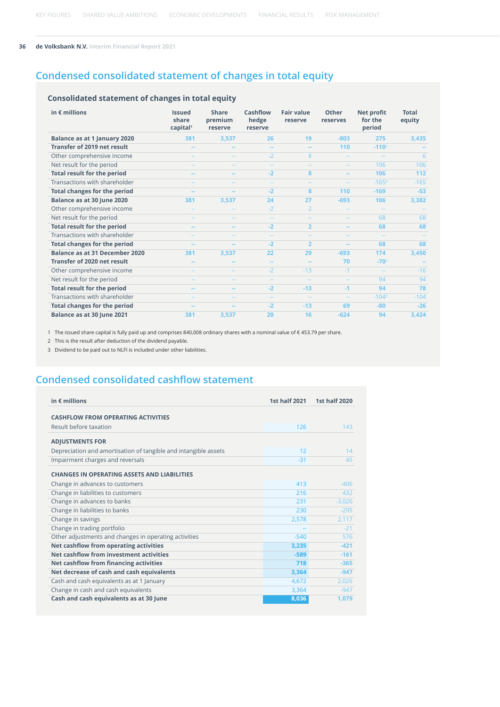## **Condensed consolidated statement of changes in total equity**

#### **Consolidated statement of changes in total equity**

| in $\epsilon$ millions                | <b>Issued</b><br>share<br>capital <sup>1</sup> | <b>Share</b><br>premium<br>reserve | Cashflow<br>hedge<br>reserve | <b>Fair value</b><br>reserve | Other<br>reserves        | <b>Net profit</b><br>for the<br>period | <b>Total</b><br>equity |
|---------------------------------------|------------------------------------------------|------------------------------------|------------------------------|------------------------------|--------------------------|----------------------------------------|------------------------|
| Balance as at 1 January 2020          | 381                                            | 3,537                              | 26                           | 19                           | $-803$                   | 275                                    | 3,435                  |
| Transfer of 2019 net result           | --                                             |                                    | $\sim$                       | $\overline{\phantom{a}}$     | 110                      | $-1102$                                |                        |
| Other comprehensive income            | $-1$                                           | --                                 | $-2$                         | 8                            | н.                       | $\sim$                                 | 6                      |
| Net result for the period             |                                                |                                    |                              |                              |                          | 106                                    | 106                    |
| <b>Total result for the period</b>    | $\overline{\phantom{a}}$                       | $- -$                              | $-2$                         | 8                            | $\overline{\phantom{a}}$ | 106                                    | 112                    |
| Transactions with shareholder         | --                                             |                                    |                              |                              | --                       | $-1653$                                | $-165$                 |
| <b>Total changes for the period</b>   | --                                             |                                    | $-2$                         | 8                            | 110                      | $-169$                                 | $-53$                  |
| Balance as at 30 June 2020            | 381                                            | 3,537                              | 24                           | 27                           | $-693$                   | 106                                    | 3,382                  |
| Other comprehensive income            |                                                |                                    | $-2$                         | $\overline{2}$               |                          |                                        |                        |
| Net result for the period             |                                                |                                    |                              |                              |                          | 68                                     | 68                     |
| <b>Total result for the period</b>    | --                                             | --                                 | $-2$                         | $\overline{2}$               |                          | 68                                     | 68                     |
| Transactions with shareholder         | --                                             |                                    |                              |                              |                          |                                        |                        |
| <b>Total changes for the period</b>   | --                                             | $\overline{\phantom{a}}$           | $-2$                         | $\overline{2}$               | --                       | 68                                     | 68                     |
| <b>Balance as at 31 December 2020</b> | 381                                            | 3.537                              | 22                           | 29                           | $-693$                   | 174                                    | 3,450                  |
| <b>Transfer of 2020 net result</b>    |                                                |                                    | $\sim$                       | --                           | 70                       | $-702$                                 |                        |
| Other comprehensive income            | $-1$                                           | $\qquad \qquad -$                  | $-2$                         | $-13$                        | $-1$                     | $\sim$                                 | $-16$                  |
| Net result for the period             | $- -$                                          |                                    |                              | --                           | $\sim$ $\sim$            | 94                                     | 94                     |
| <b>Total result for the period</b>    | --                                             | $\overline{a}$                     | $-2$                         | $-13$                        | $-1$                     | 94                                     | 78                     |
| Transactions with shareholder         | $\frac{1}{2}$                                  | --                                 |                              |                              | $\overline{\phantom{a}}$ | $-104^3$                               | $-104$                 |
| <b>Total changes for the period</b>   | --                                             |                                    | $-2$                         | $-13$                        | 69                       | $-80$                                  | $-26$                  |
| Balance as at 30 June 2021            | 381                                            | 3,537                              | 20                           | 16                           | $-624$                   | 94                                     | 3,424                  |

1 The issued share capital is fully paid up and comprises 840,008 ordinary shares with a nominal value of € 453.79 per share.

2 This is the result after deduction of the dividend payable.

3 Dividend to be paid out to NLFI is included under other liabilities.

## **Condensed consolidated cashflow statement**

| in $\epsilon$ millions                                          | <b>1st half 2021</b> | <b>1st half 2020</b> |
|-----------------------------------------------------------------|----------------------|----------------------|
|                                                                 |                      |                      |
| <b>CASHFLOW FROM OPERATING ACTIVITIES</b>                       |                      |                      |
| Result before taxation                                          | 126                  | 143                  |
| <b>ADJUSTMENTS FOR</b>                                          |                      |                      |
| Depreciation and amortisation of tangible and intangible assets | 12                   | 14                   |
| Impairment charges and reversals                                | $-31$                | 45                   |
| <b>CHANGES IN OPERATING ASSETS AND LIABILITIES</b>              |                      |                      |
| Change in advances to customers                                 | 413                  | $-406$               |
| Change in liabilities to customers                              | 216                  | 432                  |
| Change in advances to banks                                     | 231                  | $-3.026$             |
| Change in liabilities to banks                                  | 230                  | $-295$               |
| Change in savings                                               | 2,578                | 2,117                |
| Change in trading portfolio                                     |                      | $-21$                |
| Other adjustments and changes in operating activities           | $-540$               | 576                  |
| Net cashflow from operating activities                          | 3,235                | $-421$               |
| Net cashflow from investment activities                         | $-589$               | $-161$               |
| Net cashflow from financing activities                          | 718                  | $-365$               |
| Net decrease of cash and cash equivalents                       | 3,364                | $-947$               |
| Cash and cash equivalents as at 1 January                       | 4,672                | 2,026                |
| Change in cash and cash equivalents                             | 3,364                | $-947$               |
| Cash and cash equivalents as at 30 June                         | 8,036                | 1,079                |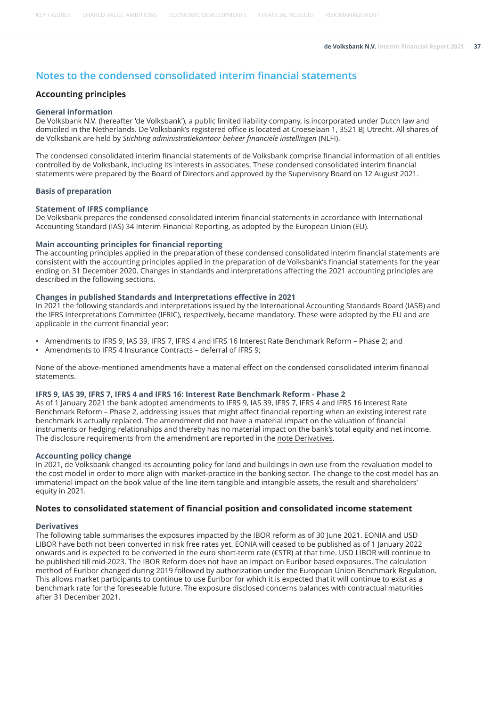## **Notes to the condensed consolidated interim financial statements**

#### **Accounting principles**

#### **General information**

De Volksbank N.V. (hereafter 'de Volksbank'), a public limited liability company, is incorporated under Dutch law and domiciled in the Netherlands. De Volksbank's registered office is located at Croeselaan 1, 3521 BJ Utrecht. All shares of de Volksbank are held by *Stichting administratiekantoor beheer financiële instellingen* (NLFI).

The condensed consolidated interim financial statements of de Volksbank comprise financial information of all entities controlled by de Volksbank, including its interests in associates. These condensed consolidated interim financial statements were prepared by the Board of Directors and approved by the Supervisory Board on 12 August 2021.

#### **Basis of preparation**

#### **Statement of IFRS compliance**

De Volksbank prepares the condensed consolidated interim financial statements in accordance with International Accounting Standard (IAS) 34 Interim Financial Reporting, as adopted by the European Union (EU).

#### **Main accounting principles for financial reporting**

The accounting principles applied in the preparation of these condensed consolidated interim financial statements are consistent with the accounting principles applied in the preparation of de Volksbank's financial statements for the year ending on 31 December 2020. Changes in standards and interpretations affecting the 2021 accounting principles are described in the following sections.

#### **Changes in published Standards and Interpretations effective in 2021**

In 2021 the following standards and interpretations issued by the International Accounting Standards Board (IASB) and the IFRS Interpretations Committee (IFRIC), respectively, became mandatory. These were adopted by the EU and are applicable in the current financial year:

- Amendments to IFRS 9, IAS 39, IFRS 7, IFRS 4 and IFRS 16 Interest Rate Benchmark Reform Phase 2; and
- Amendments to IFRS 4 Insurance Contracts deferral of IFRS 9;

None of the above-mentioned amendments have a material effect on the condensed consolidated interim financial statements.

#### **IFRS 9, IAS 39, IFRS 7, IFRS 4 and IFRS 16: Interest Rate Benchmark Reform - Phase 2**

As of 1 January 2021 the bank adopted amendments to IFRS 9, IAS 39, IFRS 7, IFRS 4 and IFRS 16 Interest Rate Benchmark Reform – Phase 2, addressing issues that might affect financial reporting when an existing interest rate benchmark is actually replaced. The amendment did not have a material impact on the valuation of financial instruments or hedging relationships and thereby has no material impact on the bank's total equity and net income. The disclosure requirements from the amendment are reported in the note Derivatives.

#### **Accounting policy change**

In 2021, de Volksbank changed its accounting policy for land and buildings in own use from the revaluation model to the cost model in order to more align with market-practice in the banking sector. The change to the cost model has an immaterial impact on the book value of the line item tangible and intangible assets, the result and shareholders' equity in 2021.

#### **Notes to consolidated statement of financial position and consolidated income statement**

#### **Derivatives**

The following table summarises the exposures impacted by the IBOR reform as of 30 June 2021. EONIA and USD LIBOR have both not been converted in risk free rates yet. EONIA will ceased to be published as of 1 January 2022 onwards and is expected to be converted in the euro short-term rate (€STR) at that time. USD LIBOR will continue to be published till mid-2023. The IBOR Reform does not have an impact on Euribor based exposures. The calculation method of Euribor changed during 2019 followed by authorization under the European Union Benchmark Regulation. This allows market participants to continue to use Euribor for which it is expected that it will continue to exist as a benchmark rate for the foreseeable future. The exposure disclosed concerns balances with contractual maturities after 31 December 2021.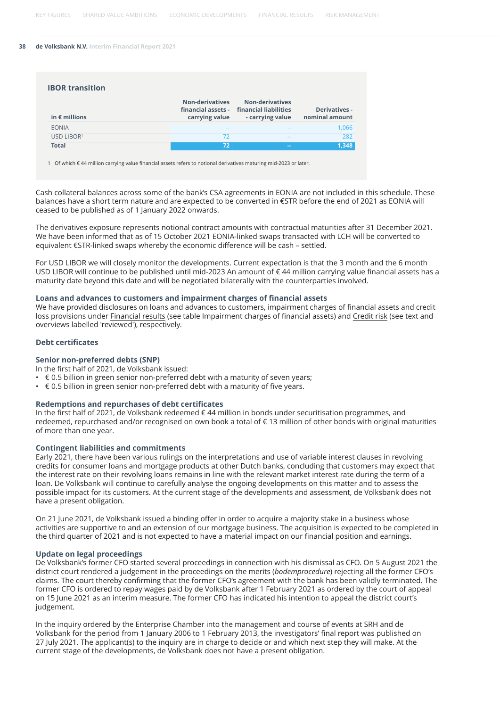| <b>IBOR transition</b> |                                                                |                                                                     |                                        |
|------------------------|----------------------------------------------------------------|---------------------------------------------------------------------|----------------------------------------|
| in $\epsilon$ millions | <b>Non-derivatives</b><br>financial assets -<br>carrying value | <b>Non-derivatives</b><br>financial liabilities<br>- carrying value | <b>Derivatives -</b><br>nominal amount |
| <b>EONIA</b>           | $\frac{1}{2}$                                                  | $-1$                                                                | 1,066                                  |
| USD LIBOR <sup>1</sup> | 72                                                             | $-1$                                                                | 282                                    |
| <b>Total</b>           | 72                                                             | <b>Service</b>                                                      | 1.348                                  |

1 Of which € 44 million carrying value financial assets refers to notional derivatives maturing mid-2023 or later.

Cash collateral balances across some of the bank's CSA agreements in EONIA are not included in this schedule. These balances have a short term nature and are expected to be converted in €STR before the end of 2021 as EONIA will ceased to be published as of 1 January 2022 onwards.

The derivatives exposure represents notional contract amounts with contractual maturities after 31 December 2021. We have been informed that as of 15 October 2021 EONIA-linked swaps transacted with LCH will be converted to equivalent €STR-linked swaps whereby the economic difference will be cash – settled.

For USD LIBOR we will closely monitor the developments. Current expectation is that the 3 month and the 6 month USD LIBOR will continue to be published until mid-2023 An amount of € 44 million carrying value financial assets has a maturity date beyond this date and will be negotiated bilaterally with the counterparties involved.

#### **Loans and advances to customers and impairment charges of financial assets**

We have provided disclosures on loans and advances to customers, impairment charges of financial assets and credit loss provisions under [Financial results](#page-8-0) (see table Impairment charges of financial assets) and [Credit risk](#page-13-0) (see text and overviews labelled 'reviewed'), respectively.

#### **Debt certificates**

#### **Senior non-preferred debts (SNP)**

In the first half of 2021, de Volksbank issued:

- $\cdot \in 0.5$  billion in green senior non-preferred debt with a maturity of seven years;
- $\cdot \in 0.5$  billion in green senior non-preferred debt with a maturity of five years.

#### **Redemptions and repurchases of debt certificates**

In the first half of 2021, de Volksbank redeemed € 44 million in bonds under securitisation programmes, and redeemed, repurchased and/or recognised on own book a total of € 13 million of other bonds with original maturities of more than one year.

#### **Contingent liabilities and commitments**

Early 2021, there have been various rulings on the interpretations and use of variable interest clauses in revolving credits for consumer loans and mortgage products at other Dutch banks, concluding that customers may expect that the interest rate on their revolving loans remains in line with the relevant market interest rate during the term of a loan. De Volksbank will continue to carefully analyse the ongoing developments on this matter and to assess the possible impact for its customers. At the current stage of the developments and assessment, de Volksbank does not have a present obligation.

On 21 June 2021, de Volksbank issued a binding offer in order to acquire a majority stake in a business whose activities are supportive to and an extension of our mortgage business. The acquisition is expected to be completed in the third quarter of 2021 and is not expected to have a material impact on our financial position and earnings.

#### **Update on legal proceedings**

De Volksbank's former CFO started several proceedings in connection with his dismissal as CFO. On 5 August 2021 the district court rendered a judgement in the proceedings on the merits (*bodemprocedure*) rejecting all the former CFO's claims. The court thereby confirming that the former CFO's agreement with the bank has been validly terminated. The former CFO is ordered to repay wages paid by de Volksbank after 1 February 2021 as ordered by the court of appeal on 15 June 2021 as an interim measure. The former CFO has indicated his intention to appeal the district court's judgement.

In the inquiry ordered by the Enterprise Chamber into the management and course of events at SRH and de Volksbank for the period from 1 January 2006 to 1 February 2013, the investigators' final report was published on 27 July 2021. The applicant(s) to the inquiry are in charge to decide or and which next step they will make. At the current stage of the developments, de Volksbank does not have a present obligation.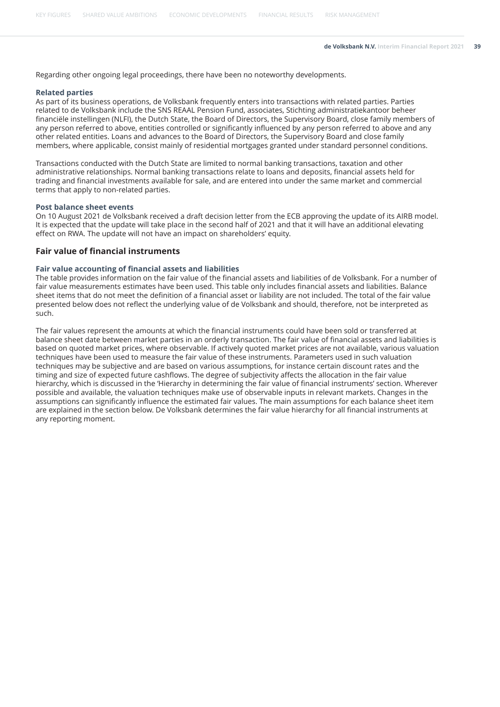Regarding other ongoing legal proceedings, there have been no noteworthy developments.

#### **Related parties**

As part of its business operations, de Volksbank frequently enters into transactions with related parties. Parties related to de Volksbank include the SNS REAAL Pension Fund, associates, Stichting administratiekantoor beheer financiële instellingen (NLFI), the Dutch State, the Board of Directors, the Supervisory Board, close family members of any person referred to above, entities controlled or significantly influenced by any person referred to above and any other related entities. Loans and advances to the Board of Directors, the Supervisory Board and close family members, where applicable, consist mainly of residential mortgages granted under standard personnel conditions.

Transactions conducted with the Dutch State are limited to normal banking transactions, taxation and other administrative relationships. Normal banking transactions relate to loans and deposits, financial assets held for trading and financial investments available for sale, and are entered into under the same market and commercial terms that apply to non-related parties.

#### **Post balance sheet events**

On 10 August 2021 de Volksbank received a draft decision letter from the ECB approving the update of its AIRB model. It is expected that the update will take place in the second half of 2021 and that it will have an additional elevating effect on RWA. The update will not have an impact on shareholders' equity.

#### **Fair value of financial instruments**

#### **Fair value accounting of financial assets and liabilities**

The table provides information on the fair value of the financial assets and liabilities of de Volksbank. For a number of fair value measurements estimates have been used. This table only includes financial assets and liabilities. Balance sheet items that do not meet the definition of a financial asset or liability are not included. The total of the fair value presented below does not reflect the underlying value of de Volksbank and should, therefore, not be interpreted as such.

The fair values represent the amounts at which the financial instruments could have been sold or transferred at balance sheet date between market parties in an orderly transaction. The fair value of financial assets and liabilities is based on quoted market prices, where observable. If actively quoted market prices are not available, various valuation techniques have been used to measure the fair value of these instruments. Parameters used in such valuation techniques may be subjective and are based on various assumptions, for instance certain discount rates and the timing and size of expected future cashflows. The degree of subjectivity affects the allocation in the fair value hierarchy, which is discussed in the 'Hierarchy in determining the fair value of financial instruments' section. Wherever possible and available, the valuation techniques make use of observable inputs in relevant markets. Changes in the assumptions can significantly influence the estimated fair values. The main assumptions for each balance sheet item are explained in the section below. De Volksbank determines the fair value hierarchy for all financial instruments at any reporting moment.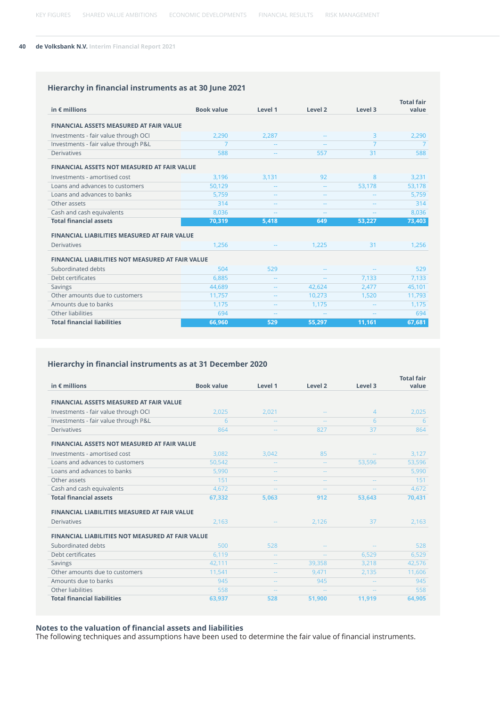### **Hierarchy in financial instruments as at 30 June 2021**

|                                                         |                   |                          |                    |         | <b>Total fair</b> |
|---------------------------------------------------------|-------------------|--------------------------|--------------------|---------|-------------------|
| in $\epsilon$ millions                                  | <b>Book value</b> | Level 1                  | Level <sub>2</sub> | Level 3 | value             |
| <b>FINANCIAL ASSETS MEASURED AT FAIR VALUE</b>          |                   |                          |                    |         |                   |
| Investments - fair value through OCI                    | 2,290             | 2,287                    |                    | 3       | 2,290             |
| Investments - fair value through P&L                    | 7                 |                          | 44                 | 7       | 7                 |
| <b>Derivatives</b>                                      | 588               | $\sim$ $\sim$            | 557                | 31      | 588               |
| <b>FINANCIAL ASSETS NOT MEASURED AT FAIR VALUE</b>      |                   |                          |                    |         |                   |
| Investments - amortised cost                            | 3,196             | 3,131                    | 92                 | 8       | 3,231             |
| Loans and advances to customers                         | 50.129            |                          |                    | 53,178  | 53,178            |
| Loans and advances to banks                             | 5.759             | --                       | --                 |         | 5,759             |
| Other assets                                            | 314               |                          | --                 |         | 314               |
| Cash and cash equivalents                               | 8,036             | 44                       | $=$                |         | 8,036             |
| <b>Total financial assets</b>                           | 70,319            | 5,418                    | 649                | 53,227  | 73,403            |
| <b>FINANCIAL LIABILITIES MEASURED AT FAIR VALUE</b>     |                   |                          |                    |         |                   |
| <b>Derivatives</b>                                      | 1.256             |                          | 1,225              | 31      | 1,256             |
| <b>FINANCIAL LIABILITIES NOT MEASURED AT FAIR VALUE</b> |                   |                          |                    |         |                   |
| Subordinated debts                                      | 504               | 529                      |                    |         | 529               |
| Debt certificates                                       | 6,885             | $\overline{\phantom{a}}$ |                    | 7,133   | 7,133             |
| <b>Savings</b>                                          | 44,689            | ۰.                       | 42,624             | 2,477   | 45,101            |
| Other amounts due to customers                          | 11,757            | ۰.                       | 10,273             | 1,520   | 11,793            |
| Amounts due to banks                                    | 1,175             |                          | 1,175              |         | 1,175             |
| Other liabilities                                       | 694               | --                       |                    |         | 694               |
| <b>Total financial liabilities</b>                      | 66.960            | 529                      | 55.297             | 11,161  | 67,681            |

#### **Hierarchy in financial instruments as at 31 December 2020**

|                                                         |                   |               |                    |                | <b>Total fair</b> |
|---------------------------------------------------------|-------------------|---------------|--------------------|----------------|-------------------|
| in $\epsilon$ millions                                  | <b>Book value</b> | Level 1       | Level <sub>2</sub> | Level 3        | value             |
| <b>FINANCIAL ASSETS MEASURED AT FAIR VALUE</b>          |                   |               |                    |                |                   |
| Investments - fair value through OCI                    | 2.025             | 2.021         |                    | $\overline{4}$ | 2,025             |
| Investments - fair value through P&L                    | 6                 |               | ٠.                 | 6              | 6                 |
| <b>Derivatives</b>                                      | 864               |               | 827                | 37             | 864               |
| <b>FINANCIAL ASSETS NOT MEASURED AT FAIR VALUE</b>      |                   |               |                    |                |                   |
| Investments - amortised cost                            | 3.082             | 3,042         | 85                 |                | 3,127             |
| Loans and advances to customers                         | 50,542            | $\sim$        | ٠.                 | 53,596         | 53,596            |
| Loans and advances to banks                             | 5,990             |               |                    |                | 5,990             |
| Other assets                                            | 151               | --            | $\sim$             |                | 151               |
| Cash and cash equivalents                               | 4.672             | ۵.            | ٠.                 |                | 4,672             |
| <b>Total financial assets</b>                           | 67,332            | 5,063         | 912                | 53,643         | 70,431            |
| <b>FINANCIAL LIABILITIES MEASURED AT FAIR VALUE</b>     |                   |               |                    |                |                   |
| <b>Derivatives</b>                                      | 2,163             |               | 2,126              | 37             | 2,163             |
| <b>FINANCIAL LIABILITIES NOT MEASURED AT FAIR VALUE</b> |                   |               |                    |                |                   |
| Subordinated debts                                      | 500               | 528           |                    |                | 528               |
| Debt certificates                                       | 6,119             | $\sim$        | $\sim$             | 6,529          | 6,529             |
| Savings                                                 | 42,111            | $\sim$ $\sim$ | 39.358             | 3,218          | 42,576            |
| Other amounts due to customers                          | 11,541            | $\sim$ $-$    | 9,471              | 2,135          | 11,606            |
| Amounts due to banks                                    | 945               | $-1$          | 945                |                | 945               |
| Other liabilities                                       | 558               | $\sim$        | $\sim$ $\sim$      |                | 558               |
| <b>Total financial liabilities</b>                      | 63,937            | 528           | 51,900             | 11,919         | 64,905            |

#### **Notes to the valuation of financial assets and liabilities**

The following techniques and assumptions have been used to determine the fair value of financial instruments.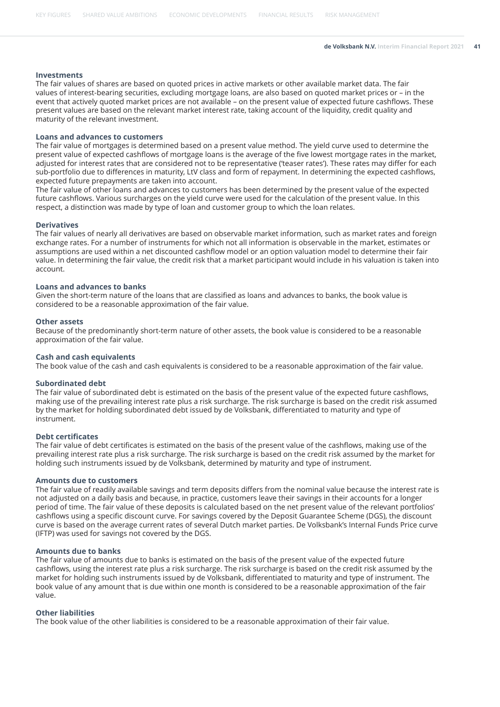#### **Investments**

The fair values of shares are based on quoted prices in active markets or other available market data. The fair values of interest-bearing securities, excluding mortgage loans, are also based on quoted market prices or – in the event that actively quoted market prices are not available – on the present value of expected future cashflows. These present values are based on the relevant market interest rate, taking account of the liquidity, credit quality and maturity of the relevant investment.

#### **Loans and advances to customers**

The fair value of mortgages is determined based on a present value method. The yield curve used to determine the present value of expected cashflows of mortgage loans is the average of the five lowest mortgage rates in the market, adjusted for interest rates that are considered not to be representative ('teaser rates'). These rates may differ for each sub-portfolio due to differences in maturity, LtV class and form of repayment. In determining the expected cashflows, expected future prepayments are taken into account.

The fair value of other loans and advances to customers has been determined by the present value of the expected future cashflows. Various surcharges on the yield curve were used for the calculation of the present value. In this respect, a distinction was made by type of loan and customer group to which the loan relates.

#### **Derivatives**

The fair values of nearly all derivatives are based on observable market information, such as market rates and foreign exchange rates. For a number of instruments for which not all information is observable in the market, estimates or assumptions are used within a net discounted cashflow model or an option valuation model to determine their fair value. In determining the fair value, the credit risk that a market participant would include in his valuation is taken into account.

#### **Loans and advances to banks**

Given the short-term nature of the loans that are classified as loans and advances to banks, the book value is considered to be a reasonable approximation of the fair value.

#### **Other assets**

Because of the predominantly short-term nature of other assets, the book value is considered to be a reasonable approximation of the fair value.

#### **Cash and cash equivalents**

The book value of the cash and cash equivalents is considered to be a reasonable approximation of the fair value.

#### **Subordinated debt**

The fair value of subordinated debt is estimated on the basis of the present value of the expected future cashflows, making use of the prevailing interest rate plus a risk surcharge. The risk surcharge is based on the credit risk assumed by the market for holding subordinated debt issued by de Volksbank, differentiated to maturity and type of instrument.

#### **Debt certificates**

The fair value of debt certificates is estimated on the basis of the present value of the cashflows, making use of the prevailing interest rate plus a risk surcharge. The risk surcharge is based on the credit risk assumed by the market for holding such instruments issued by de Volksbank, determined by maturity and type of instrument.

#### **Amounts due to customers**

The fair value of readily available savings and term deposits differs from the nominal value because the interest rate is not adjusted on a daily basis and because, in practice, customers leave their savings in their accounts for a longer period of time. The fair value of these deposits is calculated based on the net present value of the relevant portfolios' cashflows using a specific discount curve. For savings covered by the Deposit Guarantee Scheme (DGS), the discount curve is based on the average current rates of several Dutch market parties. De Volksbank's Internal Funds Price curve (IFTP) was used for savings not covered by the DGS.

#### **Amounts due to banks**

The fair value of amounts due to banks is estimated on the basis of the present value of the expected future cashflows, using the interest rate plus a risk surcharge. The risk surcharge is based on the credit risk assumed by the market for holding such instruments issued by de Volksbank, differentiated to maturity and type of instrument. The book value of any amount that is due within one month is considered to be a reasonable approximation of the fair value.

#### **Other liabilities**

The book value of the other liabilities is considered to be a reasonable approximation of their fair value.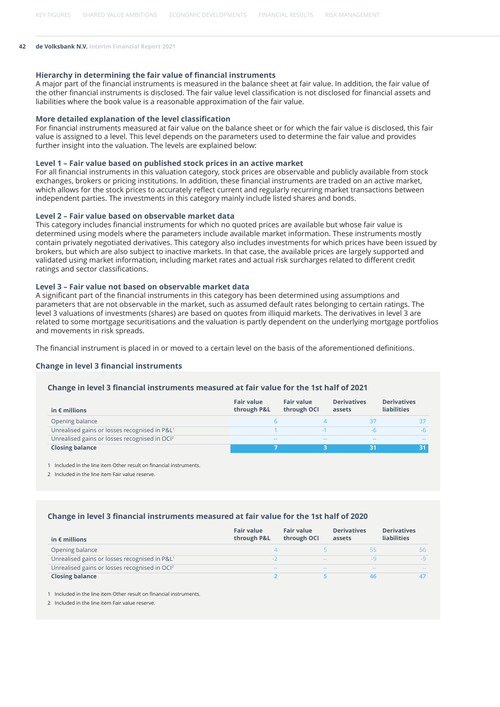#### **Hierarchy in determining the fair value of financial instruments**

A major part of the financial instruments is measured in the balance sheet at fair value. In addition, the fair value of the other financial instruments is disclosed. The fair value level classification is not disclosed for financial assets and liabilities where the book value is a reasonable approximation of the fair value.

#### **More detailed explanation of the level classification**

For financial instruments measured at fair value on the balance sheet or for which the fair value is disclosed, this fair value is assigned to a level. This level depends on the parameters used to determine the fair value and provides further insight into the valuation. The levels are explained below:

#### **Level 1 – Fair value based on published stock prices in an active market**

For all financial instruments in this valuation category, stock prices are observable and publicly available from stock exchanges, brokers or pricing institutions. In addition, these financial instruments are traded on an active market, which allows for the stock prices to accurately reflect current and regularly recurring market transactions between independent parties. The investments in this category mainly include listed shares and bonds.

#### **Level 2 – Fair value based on observable market data**

This category includes financial instruments for which no quoted prices are available but whose fair value is determined using models where the parameters include available market information. These instruments mostly contain privately negotiated derivatives. This category also includes investments for which prices have been issued by brokers, but which are also subject to inactive markets. In that case, the available prices are largely supported and validated using market information, including market rates and actual risk surcharges related to different credit ratings and sector classifications.

#### **Level 3 – Fair value not based on observable market data**

A significant part of the financial instruments in this category has been determined using assumptions and parameters that are not observable in the market, such as assumed default rates belonging to certain ratings. The level 3 valuations of investments (shares) are based on quotes from illiquid markets. The derivatives in level 3 are related to some mortgage securitisations and the valuation is partly dependent on the underlying mortgage portfolios and movements in risk spreads.

The financial instrument is placed in or moved to a certain level on the basis of the aforementioned definitions.

#### **Change in level 3 financial instruments**

#### **Change in level 3 financial instruments measured at fair value for the 1st half of 2021**

| in $\epsilon$ millions                                    | <b>Fair value</b><br>through P&L | <b>Fair value</b><br>through OCI | <b>Derivatives</b><br>assets | <b>Derivatives</b><br><b>liabilities</b> |
|-----------------------------------------------------------|----------------------------------|----------------------------------|------------------------------|------------------------------------------|
| Opening balance                                           |                                  |                                  |                              |                                          |
| Unrealised gains or losses recognised in P&L <sup>1</sup> |                                  |                                  |                              |                                          |
| Unrealised gains or losses recognised in OCI <sup>2</sup> | $-1$                             | $\sim$ $\sim$                    | $ -$                         |                                          |
| <b>Closing balance</b>                                    |                                  |                                  |                              |                                          |

1 Included in the line item Other result on financial instruments.

2 Included in the line item Fair value reserve.

#### **Change in level 3 financial instruments measured at fair value for the 1st half of 2020**

| in $\epsilon$ millions                                    | <b>Fair value</b><br>through P&L | <b>Fair value</b><br>through OCI | <b>Derivatives</b><br>assets | <b>Derivatives</b><br><b>liabilities</b> |
|-----------------------------------------------------------|----------------------------------|----------------------------------|------------------------------|------------------------------------------|
| Opening balance                                           |                                  |                                  | 55                           | 56.                                      |
| Unrealised gains or losses recognised in P&L <sup>1</sup> | -2                               | $\sim$ $\sim$                    | LQ.                          | $-9$                                     |
| Unrealised gains or losses recognised in OCI <sup>2</sup> | $\sim$ $\sim$                    | $\frac{1}{2}$                    | $-$                          | $- -$                                    |
| <b>Closing balance</b>                                    |                                  |                                  | 46                           |                                          |

1 Included in the line item Other result on financial instruments.

2 Included in the line item Fair value reserve.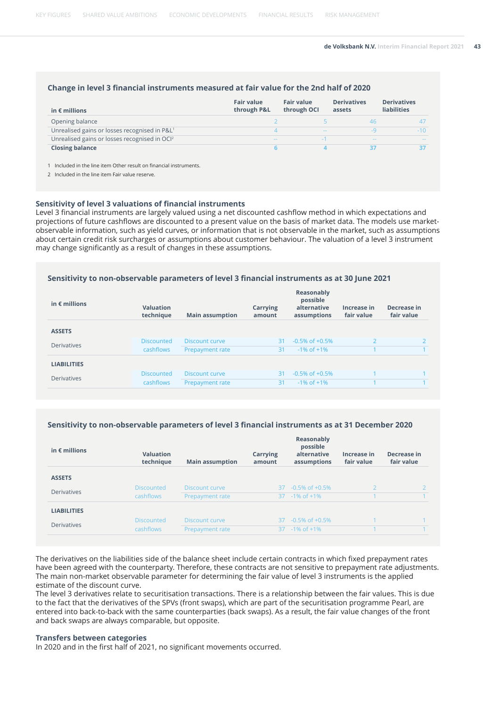#### **Change in level 3 financial instruments measured at fair value for the 2nd half of 2020**

| in $\epsilon$ millions                                    | <b>Fair value</b><br>through P&L | <b>Fair value</b><br>through OCI | <b>Derivatives</b><br>assets | <b>Derivatives</b><br><b>liabilities</b> |
|-----------------------------------------------------------|----------------------------------|----------------------------------|------------------------------|------------------------------------------|
| Opening balance                                           |                                  |                                  |                              |                                          |
| Unrealised gains or losses recognised in P&L <sup>1</sup> |                                  | $\sim$ $-$                       |                              | $-10$                                    |
| Unrealised gains or losses recognised in OCI <sup>2</sup> | $\frac{1}{2}$                    |                                  | $\frac{1}{2}$                | $\sim$                                   |
| <b>Closing balance</b>                                    |                                  |                                  |                              | 37                                       |

1 Included in the line item Other result on financial instruments.

2 Included in the line item Fair value reserve.

#### **Sensitivity of level 3 valuations of financial instruments**

Level 3 financial instruments are largely valued using a net discounted cashflow method in which expectations and projections of future cashflows are discounted to a present value on the basis of market data. The models use marketobservable information, such as yield curves, or information that is not observable in the market, such as assumptions about certain credit risk surcharges or assumptions about customer behaviour. The valuation of a level 3 instrument may change significantly as a result of changes in these assumptions.

#### **Sensitivity to non-observable parameters of level 3 financial instruments as at 30 June 2021**

| in $\epsilon$ millions | <b>Valuation</b><br>technique | <b>Main assumption</b> | Carrying<br>amount | Reasonably<br>possible<br>alternative<br>assumptions | Increase in<br>fair value | Decrease in<br>fair value |
|------------------------|-------------------------------|------------------------|--------------------|------------------------------------------------------|---------------------------|---------------------------|
| <b>ASSETS</b>          |                               |                        |                    |                                                      |                           |                           |
| <b>Derivatives</b>     | <b>Discounted</b>             | Discount curve         | 31                 | $-0.5\%$ of $+0.5\%$                                 | $\mathcal{P}$             |                           |
|                        | cashflows                     | Prepayment rate        | 31                 | $-1\%$ of $+1\%$                                     |                           |                           |
| <b>LIABILITIES</b>     |                               |                        |                    |                                                      |                           |                           |
| <b>Derivatives</b>     | <b>Discounted</b>             | Discount curve         | 31                 | $-0.5\%$ of $+0.5\%$                                 |                           |                           |
|                        | cashflows                     | Prepayment rate        | 31                 | $-1\%$ of $+1\%$                                     |                           |                           |

#### **Sensitivity to non-observable parameters of level 3 financial instruments as at 31 December 2020**

| in $\epsilon$ millions | <b>Valuation</b><br>technique | <b>Main assumption</b> | Carrying<br>amount | Reasonably<br>possible<br>alternative<br>assumptions | Increase in<br>fair value | Decrease in<br>fair value |
|------------------------|-------------------------------|------------------------|--------------------|------------------------------------------------------|---------------------------|---------------------------|
| <b>ASSETS</b>          |                               |                        |                    |                                                      |                           |                           |
| <b>Derivatives</b>     | <b>Discounted</b>             | Discount curve         |                    | $37 - 0.5\%$ of $\pm 0.5\%$                          |                           |                           |
|                        | cashflows                     | Prepayment rate        |                    | $37 - 1\% \text{ of } +1\%$                          |                           |                           |
| <b>LIABILITIES</b>     |                               |                        |                    |                                                      |                           |                           |
| <b>Derivatives</b>     | <b>Discounted</b>             | Discount curve         | 37                 | $-0.5\%$ of $+0.5\%$                                 |                           |                           |
|                        | cashflows                     | Prepayment rate        |                    | $37 - 1\% \text{ of } +1\%$                          |                           |                           |

The derivatives on the liabilities side of the balance sheet include certain contracts in which fixed prepayment rates have been agreed with the counterparty. Therefore, these contracts are not sensitive to prepayment rate adjustments. The main non-market observable parameter for determining the fair value of level 3 instruments is the applied estimate of the discount curve.

The level 3 derivatives relate to securitisation transactions. There is a relationship between the fair values. This is due to the fact that the derivatives of the SPVs (front swaps), which are part of the securitisation programme Pearl, are entered into back-to-back with the same counterparties (back swaps). As a result, the fair value changes of the front and back swaps are always comparable, but opposite.

#### **Transfers between categories**

In 2020 and in the first half of 2021, no significant movements occurred.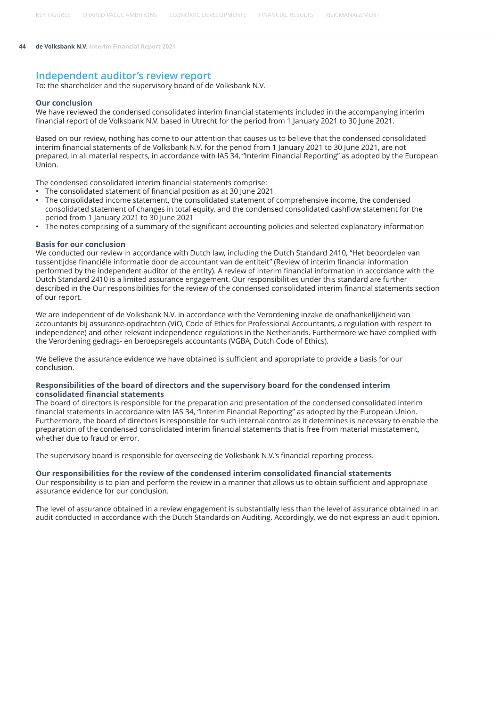#### **Independent auditor's review report**

To: the shareholder and the supervisory board of de Volksbank N.V.

#### **Our conclusion**

We have reviewed the condensed consolidated interim financial statements included in the accompanying interim financial report of de Volksbank N.V. based in Utrecht for the period from 1 January 2021 to 30 June 2021.

Based on our review, nothing has come to our attention that causes us to believe that the condensed consolidated interim financial statements of de Volksbank N.V. for the period from 1 January 2021 to 30 June 2021, are not prepared, in all material respects, in accordance with IAS 34, "Interim Financial Reporting" as adopted by the European Union.

The condensed consolidated interim financial statements comprise:

- The consolidated statement of financial position as at 30 June 2021
- The consolidated income statement, the consolidated statement of comprehensive income, the condensed consolidated statement of changes in total equity, and the condensed consolidated cashflow statement for the period from 1 January 2021 to 30 June 2021
- The notes comprising of a summary of the significant accounting policies and selected explanatory information

#### **Basis for our conclusion**

We conducted our review in accordance with Dutch law, including the Dutch Standard 2410, "Het beoordelen van tussentijdse financiële informatie door de accountant van de entiteit" (Review of interim financial information performed by the independent auditor of the entity). A review of interim financial information in accordance with the Dutch Standard 2410 is a limited assurance engagement. Our responsibilities under this standard are further described in the Our responsibilities for the review of the condensed consolidated interim financial statements section of our report.

We are independent of de Volksbank N.V. in accordance with the Verordening inzake de onafhankelijkheid van accountants bij assurance-opdrachten (ViO, Code of Ethics for Professional Accountants, a regulation with respect to independence) and other relevant independence regulations in the Netherlands. Furthermore we have complied with the Verordening gedrags- en beroepsregels accountants (VGBA, Dutch Code of Ethics).

We believe the assurance evidence we have obtained is sufficient and appropriate to provide a basis for our conclusion.

#### **Responsibilities of the board of directors and the supervisory board for the condensed interim consolidated financial statements**

The board of directors is responsible for the preparation and presentation of the condensed consolidated interim financial statements in accordance with IAS 34, "Interim Financial Reporting" as adopted by the European Union. Furthermore, the board of directors is responsible for such internal control as it determines is necessary to enable the preparation of the condensed consolidated interim financial statements that is free from material misstatement, whether due to fraud or error.

The supervisory board is responsible for overseeing de Volksbank N.V.'s financial reporting process.

#### **Our responsibilities for the review of the condensed interim consolidated financial statements**

Our responsibility is to plan and perform the review in a manner that allows us to obtain sufficient and appropriate assurance evidence for our conclusion.

The level of assurance obtained in a review engagement is substantially less than the level of assurance obtained in an audit conducted in accordance with the Dutch Standards on Auditing. Accordingly, we do not express an audit opinion.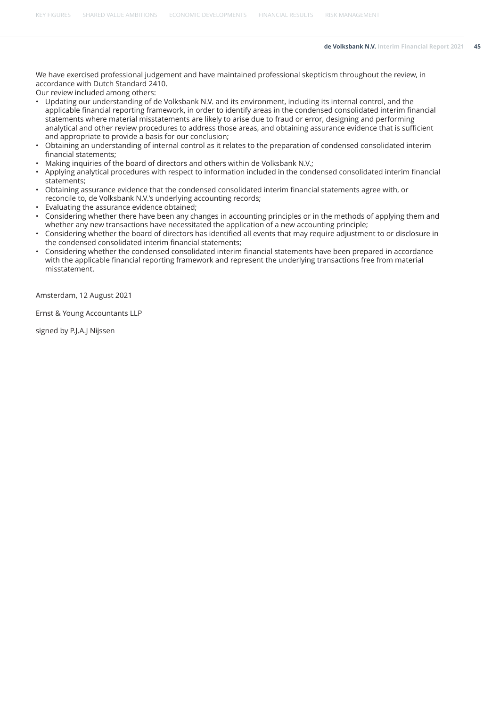[KEY FIGURES](#page-1-0) [SHARED VALUE AMBITIONS](#page-4-0) [ECONOMIC DEVELOPMENTS](#page-7-0) [FINANCIAL RESULTS](#page-8-0) [RISK MANAGEMENT](#page-13-0)

We have exercised professional judgement and have maintained professional skepticism throughout the review, in accordance with Dutch Standard 2410.

Our review included among others:

- Updating our understanding of de Volksbank N.V. and its environment, including its internal control, and the applicable financial reporting framework, in order to identify areas in the condensed consolidated interim financial statements where material misstatements are likely to arise due to fraud or error, designing and performing analytical and other review procedures to address those areas, and obtaining assurance evidence that is sufficient and appropriate to provide a basis for our conclusion;
- Obtaining an understanding of internal control as it relates to the preparation of condensed consolidated interim financial statements;
- Making inquiries of the board of directors and others within de Volksbank N.V.;
- Applying analytical procedures with respect to information included in the condensed consolidated interim financial statements;
- Obtaining assurance evidence that the condensed consolidated interim financial statements agree with, or reconcile to, de Volksbank N.V.'s underlying accounting records;
- Evaluating the assurance evidence obtained;
- Considering whether there have been any changes in accounting principles or in the methods of applying them and whether any new transactions have necessitated the application of a new accounting principle;
- Considering whether the board of directors has identified all events that may require adjustment to or disclosure in the condensed consolidated interim financial statements;
- Considering whether the condensed consolidated interim financial statements have been prepared in accordance with the applicable financial reporting framework and represent the underlying transactions free from material misstatement.

Amsterdam, 12 August 2021

Ernst & Young Accountants LLP

signed by P.J.A.J Nijssen